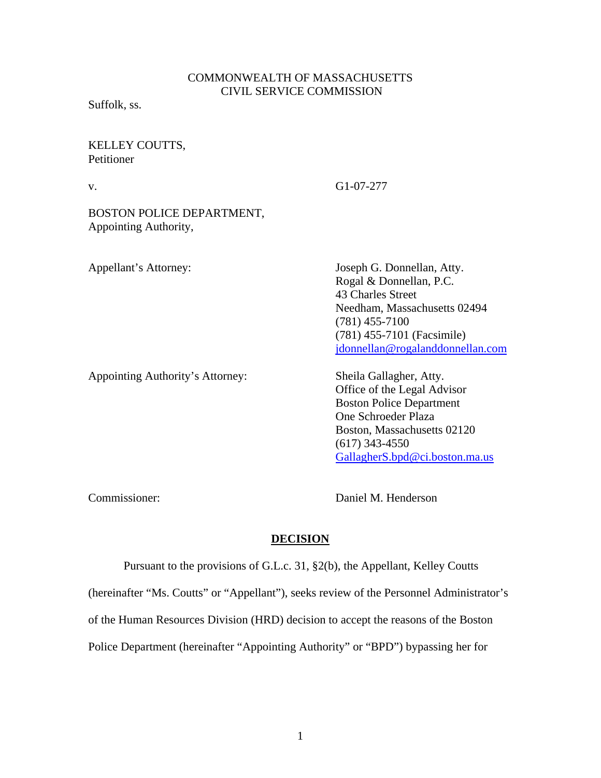# COMMONWEALTH OF MASSACHUSETTS CIVIL SERVICE COMMISSION

Suffolk, ss.

## KELLEY COUTTS, **Petitioner**

v. G1-07-277

BOSTON POLICE DEPARTMENT, Appointing Authority,

Appellant's Attorney: Joseph G. Donnellan, Atty. Rogal & Donnellan, P.C. 43 Charles Street Needham, Massachusetts 02494 (781) 455-7100 (781) 455-7101 (Facsimile) [jdonnellan@rogalanddonnellan.com](mailto:jdonnellan@rogalanddonnellan.com)

Appointing Authority's Attorney: **Sheila Gallagher, Atty.** 

 Office of the Legal Advisor Boston Police Department One Schroeder Plaza Boston, Massachusetts 02120 (617) 343-4550 [GallagherS.bpd@ci.boston.ma.us](mailto:GallagherS.bpd@ci.boston.ma.us)

Commissioner: Daniel M. Henderson

# **DECISION**

Pursuant to the provisions of G.L.c. 31, §2(b), the Appellant, Kelley Coutts

(hereinafter "Ms. Coutts" or "Appellant"), seeks review of the Personnel Administrator's

of the Human Resources Division (HRD) decision to accept the reasons of the Boston

Police Department (hereinafter "Appointing Authority" or "BPD") bypassing her for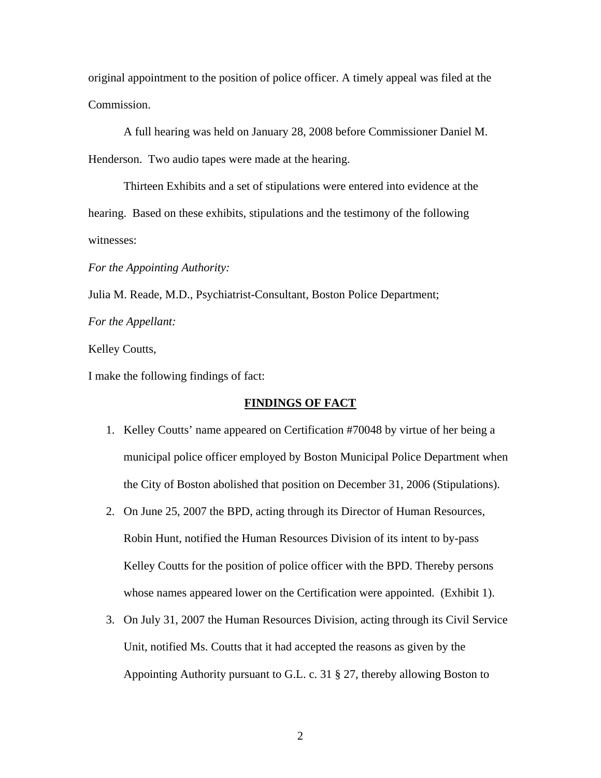original appointment to the position of police officer. A timely appeal was filed at the Commission.

A full hearing was held on January 28, 2008 before Commissioner Daniel M. Henderson. Two audio tapes were made at the hearing.

Thirteen Exhibits and a set of stipulations were entered into evidence at the hearing. Based on these exhibits, stipulations and the testimony of the following witnesses:

*For the Appointing Authority:* 

Julia M. Reade, M.D., Psychiatrist-Consultant, Boston Police Department;

*For the Appellant:* 

Kelley Coutts,

I make the following findings of fact:

### **FINDINGS OF FACT**

- 1. Kelley Coutts' name appeared on Certification #70048 by virtue of her being a municipal police officer employed by Boston Municipal Police Department when the City of Boston abolished that position on December 31, 2006 (Stipulations).
- 2. On June 25, 2007 the BPD, acting through its Director of Human Resources, Robin Hunt, notified the Human Resources Division of its intent to by-pass Kelley Coutts for the position of police officer with the BPD. Thereby persons whose names appeared lower on the Certification were appointed. (Exhibit 1).
- 3. On July 31, 2007 the Human Resources Division, acting through its Civil Service Unit, notified Ms. Coutts that it had accepted the reasons as given by the Appointing Authority pursuant to G.L. c. 31 § 27, thereby allowing Boston to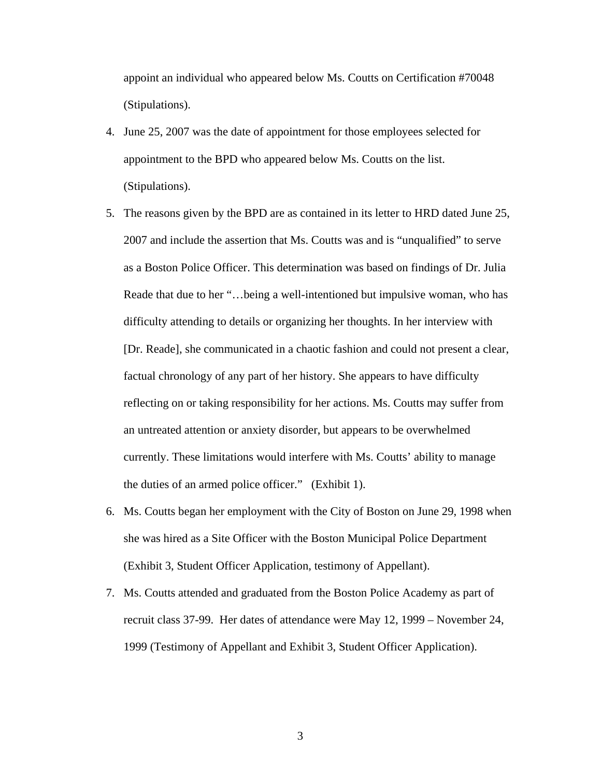appoint an individual who appeared below Ms. Coutts on Certification #70048 (Stipulations).

- 4. June 25, 2007 was the date of appointment for those employees selected for appointment to the BPD who appeared below Ms. Coutts on the list. (Stipulations).
- 5. The reasons given by the BPD are as contained in its letter to HRD dated June 25, 2007 and include the assertion that Ms. Coutts was and is "unqualified" to serve as a Boston Police Officer. This determination was based on findings of Dr. Julia Reade that due to her "…being a well-intentioned but impulsive woman, who has difficulty attending to details or organizing her thoughts. In her interview with [Dr. Reade], she communicated in a chaotic fashion and could not present a clear, factual chronology of any part of her history. She appears to have difficulty reflecting on or taking responsibility for her actions. Ms. Coutts may suffer from an untreated attention or anxiety disorder, but appears to be overwhelmed currently. These limitations would interfere with Ms. Coutts' ability to manage the duties of an armed police officer." (Exhibit 1).
- 6. Ms. Coutts began her employment with the City of Boston on June 29, 1998 when she was hired as a Site Officer with the Boston Municipal Police Department (Exhibit 3, Student Officer Application, testimony of Appellant).
- 7. Ms. Coutts attended and graduated from the Boston Police Academy as part of recruit class 37-99. Her dates of attendance were May 12, 1999 – November 24, 1999 (Testimony of Appellant and Exhibit 3, Student Officer Application).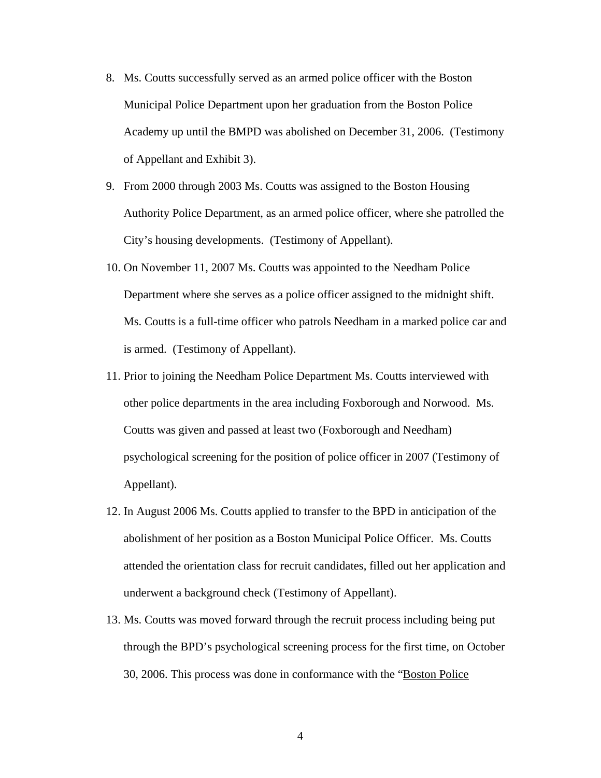- 8. Ms. Coutts successfully served as an armed police officer with the Boston Municipal Police Department upon her graduation from the Boston Police Academy up until the BMPD was abolished on December 31, 2006. (Testimony of Appellant and Exhibit 3).
- 9. From 2000 through 2003 Ms. Coutts was assigned to the Boston Housing Authority Police Department, as an armed police officer, where she patrolled the City's housing developments. (Testimony of Appellant).
- 10. On November 11, 2007 Ms. Coutts was appointed to the Needham Police Department where she serves as a police officer assigned to the midnight shift. Ms. Coutts is a full-time officer who patrols Needham in a marked police car and is armed. (Testimony of Appellant).
- 11. Prior to joining the Needham Police Department Ms. Coutts interviewed with other police departments in the area including Foxborough and Norwood. Ms. Coutts was given and passed at least two (Foxborough and Needham) psychological screening for the position of police officer in 2007 (Testimony of Appellant).
- 12. In August 2006 Ms. Coutts applied to transfer to the BPD in anticipation of the abolishment of her position as a Boston Municipal Police Officer. Ms. Coutts attended the orientation class for recruit candidates, filled out her application and underwent a background check (Testimony of Appellant).
- 13. Ms. Coutts was moved forward through the recruit process including being put through the BPD's psychological screening process for the first time, on October 30, 2006. This process was done in conformance with the "Boston Police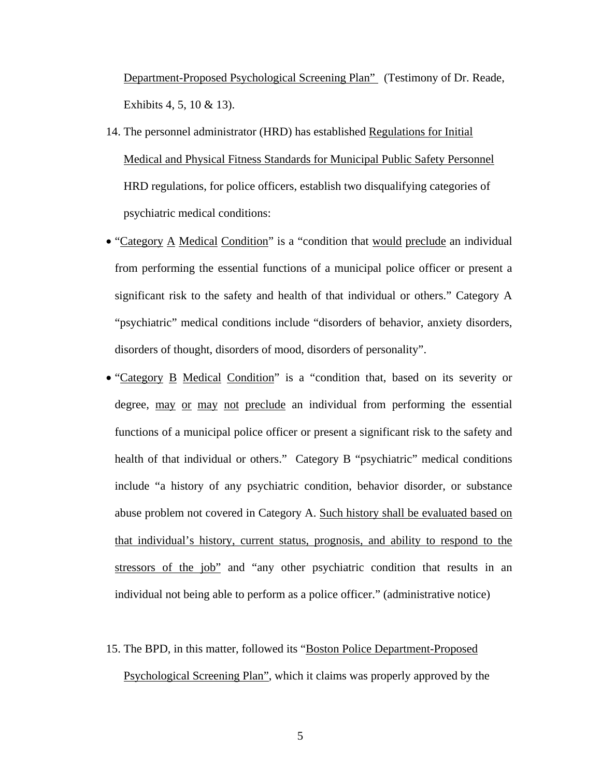Department-Proposed Psychological Screening Plan" (Testimony of Dr. Reade, Exhibits 4, 5, 10 & 13).

- 14. The personnel administrator (HRD) has established Regulations for Initial Medical and Physical Fitness Standards for Municipal Public Safety Personnel HRD regulations, for police officers, establish two disqualifying categories of psychiatric medical conditions:
- "Category A Medical Condition" is a "condition that would preclude an individual from performing the essential functions of a municipal police officer or present a significant risk to the safety and health of that individual or others." Category A "psychiatric" medical conditions include "disorders of behavior, anxiety disorders, disorders of thought, disorders of mood, disorders of personality".
- "Category B Medical Condition" is a "condition that, based on its severity or degree, may or may not preclude an individual from performing the essential functions of a municipal police officer or present a significant risk to the safety and health of that individual or others." Category B "psychiatric" medical conditions include "a history of any psychiatric condition, behavior disorder, or substance abuse problem not covered in Category A. Such history shall be evaluated based on that individual's history, current status, prognosis, and ability to respond to the stressors of the job" and "any other psychiatric condition that results in an individual not being able to perform as a police officer." (administrative notice)
- 15. The BPD, in this matter, followed its "Boston Police Department-Proposed Psychological Screening Plan", which it claims was properly approved by the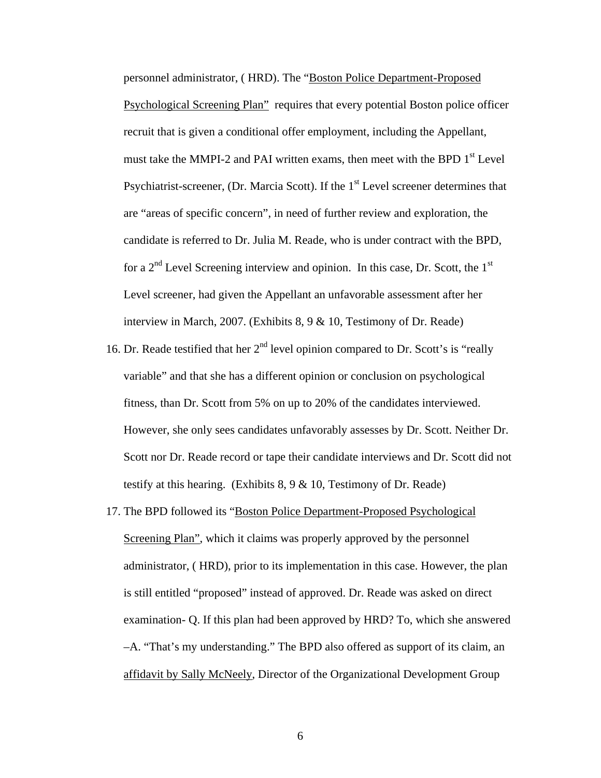personnel administrator, ( HRD). The "Boston Police Department-Proposed Psychological Screening Plan" requires that every potential Boston police officer recruit that is given a conditional offer employment, including the Appellant, must take the MMPI-2 and PAI written exams, then meet with the BPD  $1<sup>st</sup>$  Level Psychiatrist-screener, (Dr. Marcia Scott). If the  $1<sup>st</sup>$  Level screener determines that are "areas of specific concern", in need of further review and exploration, the candidate is referred to Dr. Julia M. Reade, who is under contract with the BPD, for a  $2<sup>nd</sup>$  Level Screening interview and opinion. In this case, Dr. Scott, the 1<sup>st</sup> Level screener, had given the Appellant an unfavorable assessment after her interview in March, 2007. (Exhibits 8, 9 & 10, Testimony of Dr. Reade)

- 16. Dr. Reade testified that her  $2<sup>nd</sup>$  level opinion compared to Dr. Scott's is "really variable" and that she has a different opinion or conclusion on psychological fitness, than Dr. Scott from 5% on up to 20% of the candidates interviewed. However, she only sees candidates unfavorably assesses by Dr. Scott. Neither Dr. Scott nor Dr. Reade record or tape their candidate interviews and Dr. Scott did not testify at this hearing. (Exhibits 8, 9 & 10, Testimony of Dr. Reade)
- 17. The BPD followed its "Boston Police Department-Proposed Psychological Screening Plan", which it claims was properly approved by the personnel administrator, ( HRD), prior to its implementation in this case. However, the plan is still entitled "proposed" instead of approved. Dr. Reade was asked on direct examination- Q. If this plan had been approved by HRD? To, which she answered –A. "That's my understanding." The BPD also offered as support of its claim, an affidavit by Sally McNeely, Director of the Organizational Development Group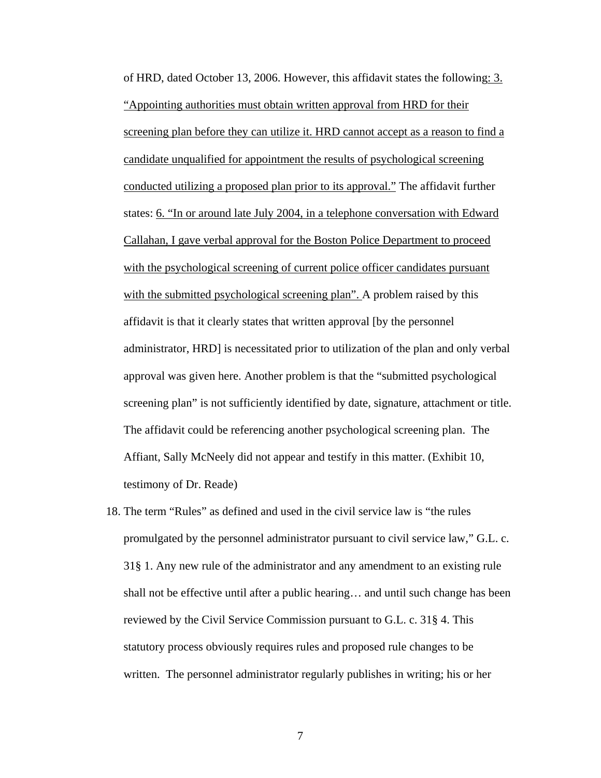of HRD, dated October 13, 2006. However, this affidavit states the following: 3. "Appointing authorities must obtain written approval from HRD for their screening plan before they can utilize it. HRD cannot accept as a reason to find a candidate unqualified for appointment the results of psychological screening conducted utilizing a proposed plan prior to its approval." The affidavit further states: 6. "In or around late July 2004, in a telephone conversation with Edward Callahan, I gave verbal approval for the Boston Police Department to proceed with the psychological screening of current police officer candidates pursuant with the submitted psychological screening plan". A problem raised by this affidavit is that it clearly states that written approval [by the personnel administrator, HRD] is necessitated prior to utilization of the plan and only verbal approval was given here. Another problem is that the "submitted psychological screening plan" is not sufficiently identified by date, signature, attachment or title. The affidavit could be referencing another psychological screening plan. The Affiant, Sally McNeely did not appear and testify in this matter. (Exhibit 10, testimony of Dr. Reade)

18. The term "Rules" as defined and used in the civil service law is "the rules promulgated by the personnel administrator pursuant to civil service law," G.L. c. 31§ 1. Any new rule of the administrator and any amendment to an existing rule shall not be effective until after a public hearing… and until such change has been reviewed by the Civil Service Commission pursuant to G.L. c. 31§ 4. This statutory process obviously requires rules and proposed rule changes to be written. The personnel administrator regularly publishes in writing; his or her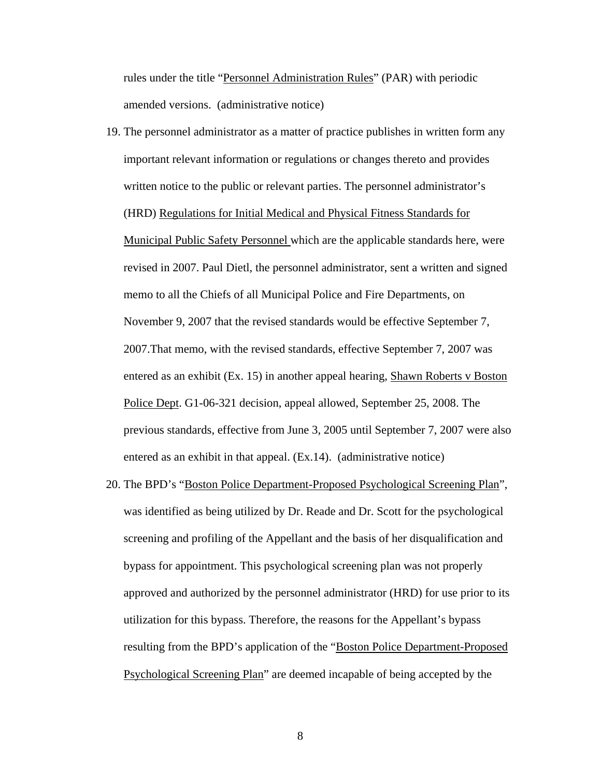rules under the title "Personnel Administration Rules" (PAR) with periodic amended versions. (administrative notice)

- 19. The personnel administrator as a matter of practice publishes in written form any important relevant information or regulations or changes thereto and provides written notice to the public or relevant parties. The personnel administrator's (HRD) Regulations for Initial Medical and Physical Fitness Standards for Municipal Public Safety Personnel which are the applicable standards here, were revised in 2007. Paul Dietl, the personnel administrator, sent a written and signed memo to all the Chiefs of all Municipal Police and Fire Departments, on November 9, 2007 that the revised standards would be effective September 7, 2007.That memo, with the revised standards, effective September 7, 2007 was entered as an exhibit (Ex. 15) in another appeal hearing, Shawn Roberts v Boston Police Dept. G1-06-321 decision, appeal allowed, September 25, 2008. The previous standards, effective from June 3, 2005 until September 7, 2007 were also entered as an exhibit in that appeal. (Ex.14). (administrative notice)
- 20. The BPD's "Boston Police Department-Proposed Psychological Screening Plan", was identified as being utilized by Dr. Reade and Dr. Scott for the psychological screening and profiling of the Appellant and the basis of her disqualification and bypass for appointment. This psychological screening plan was not properly approved and authorized by the personnel administrator (HRD) for use prior to its utilization for this bypass. Therefore, the reasons for the Appellant's bypass resulting from the BPD's application of the "Boston Police Department-Proposed Psychological Screening Plan" are deemed incapable of being accepted by the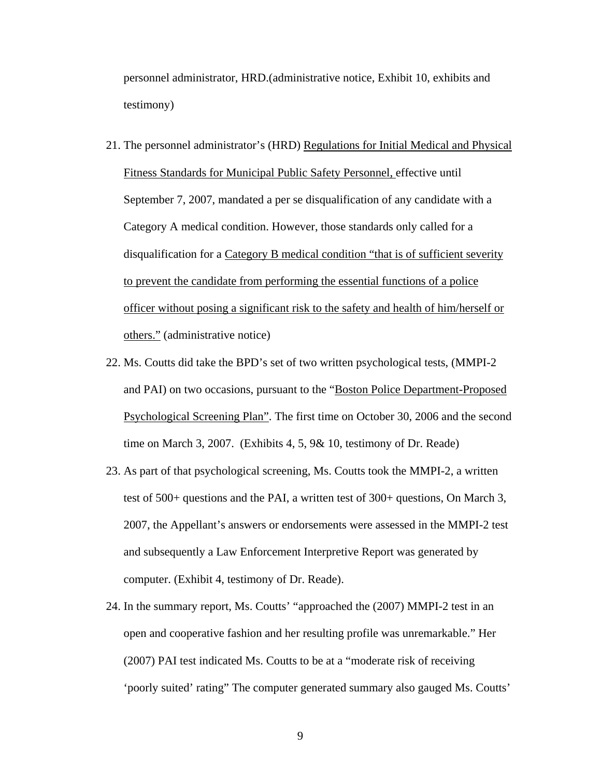personnel administrator, HRD.(administrative notice, Exhibit 10, exhibits and testimony)

- 21. The personnel administrator's (HRD) Regulations for Initial Medical and Physical Fitness Standards for Municipal Public Safety Personnel, effective until September 7, 2007, mandated a per se disqualification of any candidate with a Category A medical condition. However, those standards only called for a disqualification for a Category B medical condition "that is of sufficient severity to prevent the candidate from performing the essential functions of a police officer without posing a significant risk to the safety and health of him/herself or others." (administrative notice)
- 22. Ms. Coutts did take the BPD's set of two written psychological tests, (MMPI-2 and PAI) on two occasions, pursuant to the "Boston Police Department-Proposed Psychological Screening Plan". The first time on October 30, 2006 and the second time on March 3, 2007. (Exhibits 4, 5, 9& 10, testimony of Dr. Reade)
- 23. As part of that psychological screening, Ms. Coutts took the MMPI-2, a written test of 500+ questions and the PAI, a written test of 300+ questions, On March 3, 2007, the Appellant's answers or endorsements were assessed in the MMPI-2 test and subsequently a Law Enforcement Interpretive Report was generated by computer. (Exhibit 4, testimony of Dr. Reade).
- 24. In the summary report, Ms. Coutts' "approached the (2007) MMPI-2 test in an open and cooperative fashion and her resulting profile was unremarkable." Her (2007) PAI test indicated Ms. Coutts to be at a "moderate risk of receiving 'poorly suited' rating" The computer generated summary also gauged Ms. Coutts'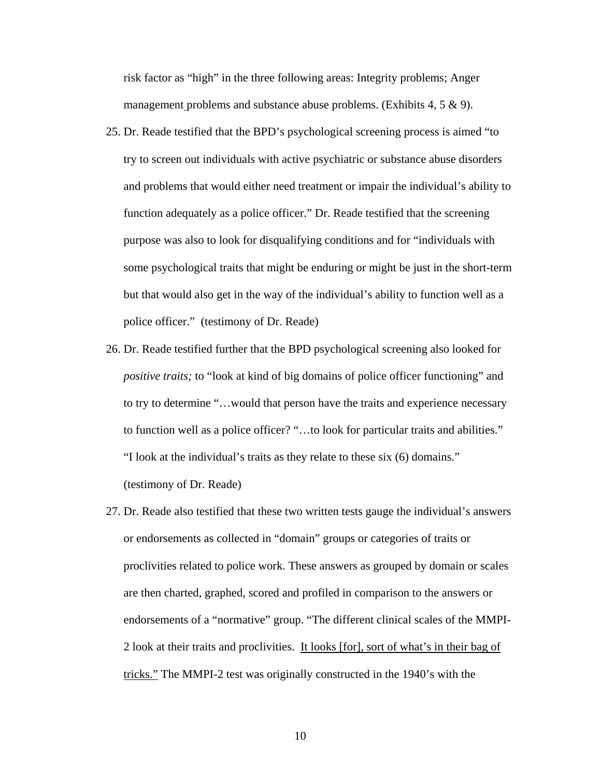risk factor as "high" in the three following areas: Integrity problems; Anger management problems and substance abuse problems. (Exhibits 4, 5 & 9).

- 25. Dr. Reade testified that the BPD's psychological screening process is aimed "to try to screen out individuals with active psychiatric or substance abuse disorders and problems that would either need treatment or impair the individual's ability to function adequately as a police officer." Dr. Reade testified that the screening purpose was also to look for disqualifying conditions and for "individuals with some psychological traits that might be enduring or might be just in the short-term but that would also get in the way of the individual's ability to function well as a police officer." (testimony of Dr. Reade)
- 26. Dr. Reade testified further that the BPD psychological screening also looked for *positive traits;* to "look at kind of big domains of police officer functioning" and to try to determine "…would that person have the traits and experience necessary to function well as a police officer? "…to look for particular traits and abilities." "I look at the individual's traits as they relate to these six (6) domains." (testimony of Dr. Reade)
- 27. Dr. Reade also testified that these two written tests gauge the individual's answers or endorsements as collected in "domain" groups or categories of traits or proclivities related to police work. These answers as grouped by domain or scales are then charted, graphed, scored and profiled in comparison to the answers or endorsements of a "normative" group. "The different clinical scales of the MMPI-2 look at their traits and proclivities. It looks [for], sort of what's in their bag of tricks." The MMPI-2 test was originally constructed in the 1940's with the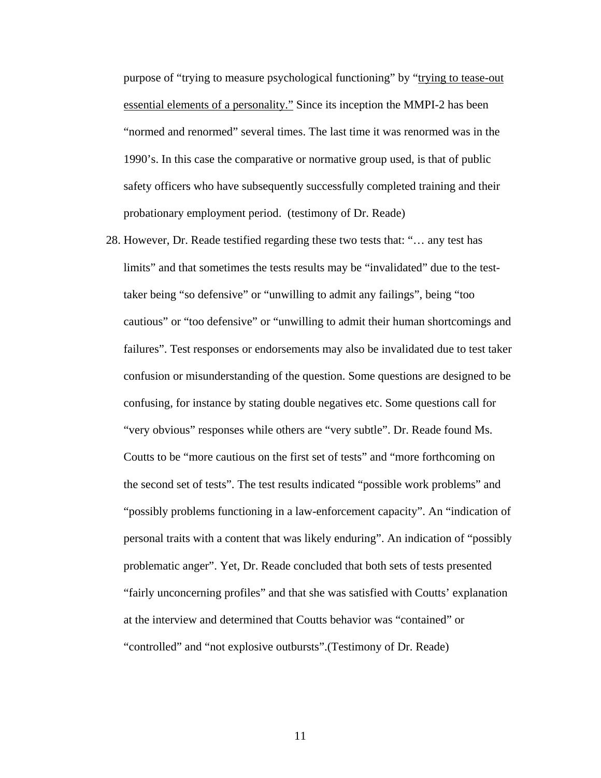purpose of "trying to measure psychological functioning" by "trying to tease-out essential elements of a personality." Since its inception the MMPI-2 has been "normed and renormed" several times. The last time it was renormed was in the 1990's. In this case the comparative or normative group used, is that of public safety officers who have subsequently successfully completed training and their probationary employment period. (testimony of Dr. Reade)

28. However, Dr. Reade testified regarding these two tests that: "… any test has limits" and that sometimes the tests results may be "invalidated" due to the testtaker being "so defensive" or "unwilling to admit any failings", being "too cautious" or "too defensive" or "unwilling to admit their human shortcomings and failures". Test responses or endorsements may also be invalidated due to test taker confusion or misunderstanding of the question. Some questions are designed to be confusing, for instance by stating double negatives etc. Some questions call for "very obvious" responses while others are "very subtle". Dr. Reade found Ms. Coutts to be "more cautious on the first set of tests" and "more forthcoming on the second set of tests". The test results indicated "possible work problems" and "possibly problems functioning in a law-enforcement capacity". An "indication of personal traits with a content that was likely enduring". An indication of "possibly problematic anger". Yet, Dr. Reade concluded that both sets of tests presented "fairly unconcerning profiles" and that she was satisfied with Coutts' explanation at the interview and determined that Coutts behavior was "contained" or "controlled" and "not explosive outbursts".(Testimony of Dr. Reade)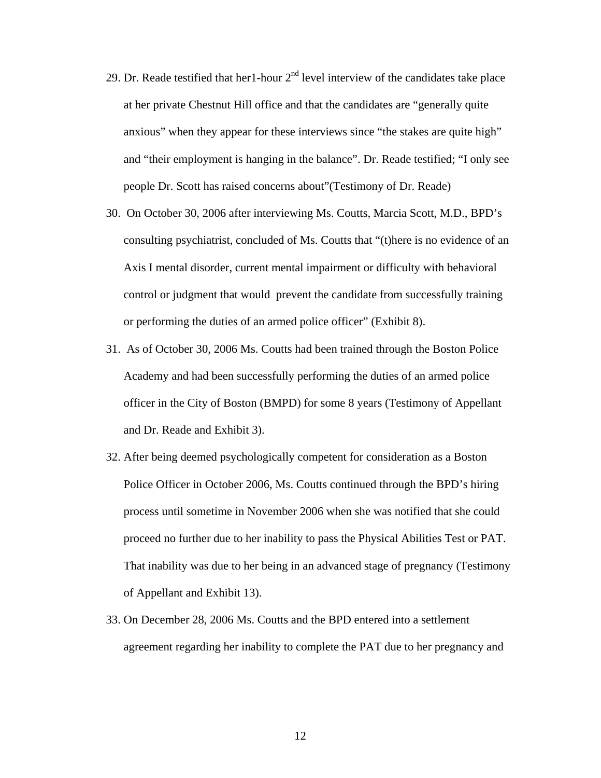- 29. Dr. Reade testified that her1-hour  $2<sup>nd</sup>$  level interview of the candidates take place at her private Chestnut Hill office and that the candidates are "generally quite anxious" when they appear for these interviews since "the stakes are quite high" and "their employment is hanging in the balance". Dr. Reade testified; "I only see people Dr. Scott has raised concerns about"(Testimony of Dr. Reade)
- 30. On October 30, 2006 after interviewing Ms. Coutts, Marcia Scott, M.D., BPD's consulting psychiatrist, concluded of Ms. Coutts that "(t)here is no evidence of an Axis I mental disorder, current mental impairment or difficulty with behavioral control or judgment that would prevent the candidate from successfully training or performing the duties of an armed police officer" (Exhibit 8).
- 31. As of October 30, 2006 Ms. Coutts had been trained through the Boston Police Academy and had been successfully performing the duties of an armed police officer in the City of Boston (BMPD) for some 8 years (Testimony of Appellant and Dr. Reade and Exhibit 3).
- 32. After being deemed psychologically competent for consideration as a Boston Police Officer in October 2006, Ms. Coutts continued through the BPD's hiring process until sometime in November 2006 when she was notified that she could proceed no further due to her inability to pass the Physical Abilities Test or PAT. That inability was due to her being in an advanced stage of pregnancy (Testimony of Appellant and Exhibit 13).
- 33. On December 28, 2006 Ms. Coutts and the BPD entered into a settlement agreement regarding her inability to complete the PAT due to her pregnancy and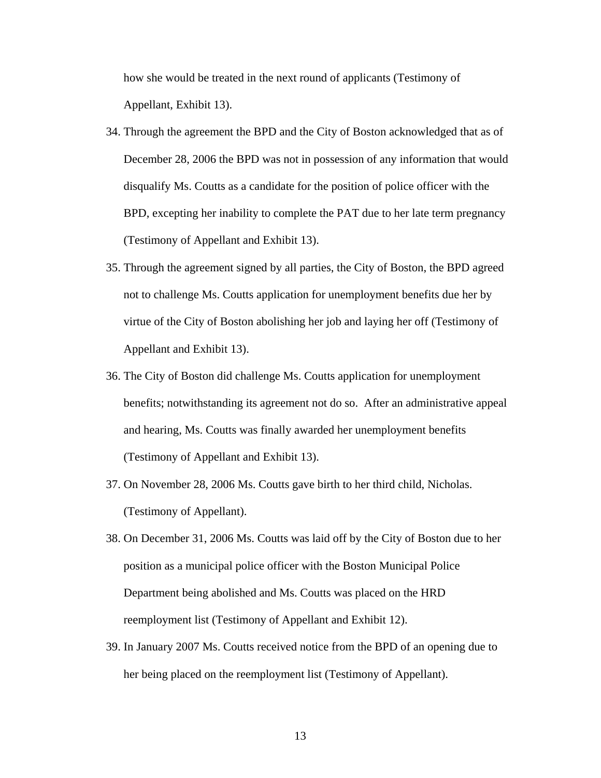how she would be treated in the next round of applicants (Testimony of Appellant, Exhibit 13).

- 34. Through the agreement the BPD and the City of Boston acknowledged that as of December 28, 2006 the BPD was not in possession of any information that would disqualify Ms. Coutts as a candidate for the position of police officer with the BPD, excepting her inability to complete the PAT due to her late term pregnancy (Testimony of Appellant and Exhibit 13).
- 35. Through the agreement signed by all parties, the City of Boston, the BPD agreed not to challenge Ms. Coutts application for unemployment benefits due her by virtue of the City of Boston abolishing her job and laying her off (Testimony of Appellant and Exhibit 13).
- 36. The City of Boston did challenge Ms. Coutts application for unemployment benefits; notwithstanding its agreement not do so. After an administrative appeal and hearing, Ms. Coutts was finally awarded her unemployment benefits (Testimony of Appellant and Exhibit 13).
- 37. On November 28, 2006 Ms. Coutts gave birth to her third child, Nicholas. (Testimony of Appellant).
- 38. On December 31, 2006 Ms. Coutts was laid off by the City of Boston due to her position as a municipal police officer with the Boston Municipal Police Department being abolished and Ms. Coutts was placed on the HRD reemployment list (Testimony of Appellant and Exhibit 12).
- 39. In January 2007 Ms. Coutts received notice from the BPD of an opening due to her being placed on the reemployment list (Testimony of Appellant).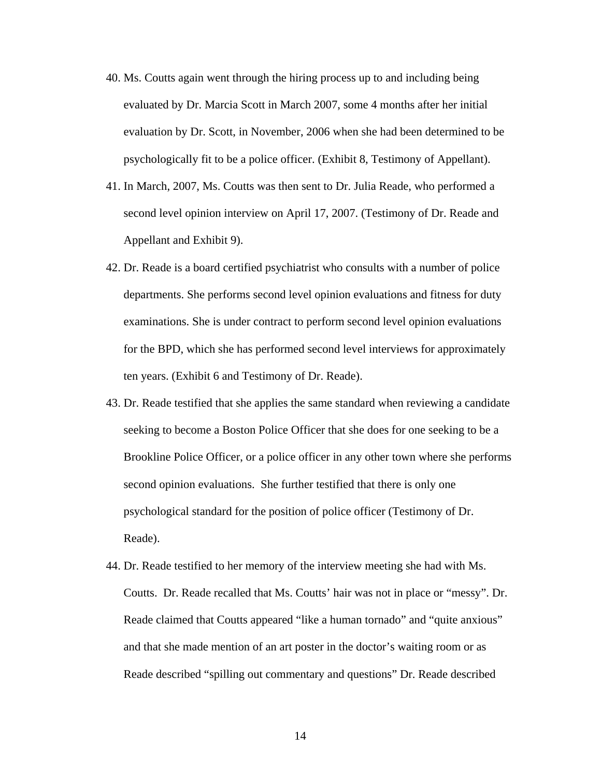- 40. Ms. Coutts again went through the hiring process up to and including being evaluated by Dr. Marcia Scott in March 2007, some 4 months after her initial evaluation by Dr. Scott, in November, 2006 when she had been determined to be psychologically fit to be a police officer. (Exhibit 8, Testimony of Appellant).
- 41. In March, 2007, Ms. Coutts was then sent to Dr. Julia Reade, who performed a second level opinion interview on April 17, 2007. (Testimony of Dr. Reade and Appellant and Exhibit 9).
- 42. Dr. Reade is a board certified psychiatrist who consults with a number of police departments. She performs second level opinion evaluations and fitness for duty examinations. She is under contract to perform second level opinion evaluations for the BPD, which she has performed second level interviews for approximately ten years. (Exhibit 6 and Testimony of Dr. Reade).
- 43. Dr. Reade testified that she applies the same standard when reviewing a candidate seeking to become a Boston Police Officer that she does for one seeking to be a Brookline Police Officer, or a police officer in any other town where she performs second opinion evaluations. She further testified that there is only one psychological standard for the position of police officer (Testimony of Dr. Reade).
- 44. Dr. Reade testified to her memory of the interview meeting she had with Ms. Coutts. Dr. Reade recalled that Ms. Coutts' hair was not in place or "messy". Dr. Reade claimed that Coutts appeared "like a human tornado" and "quite anxious" and that she made mention of an art poster in the doctor's waiting room or as Reade described "spilling out commentary and questions" Dr. Reade described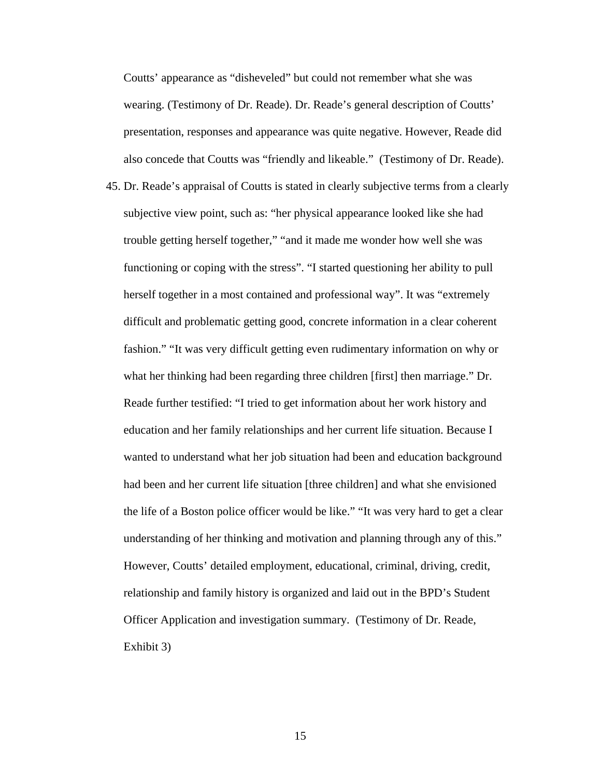Coutts' appearance as "disheveled" but could not remember what she was wearing. (Testimony of Dr. Reade). Dr. Reade's general description of Coutts' presentation, responses and appearance was quite negative. However, Reade did also concede that Coutts was "friendly and likeable." (Testimony of Dr. Reade).

45. Dr. Reade's appraisal of Coutts is stated in clearly subjective terms from a clearly subjective view point, such as: "her physical appearance looked like she had trouble getting herself together," "and it made me wonder how well she was functioning or coping with the stress". "I started questioning her ability to pull herself together in a most contained and professional way". It was "extremely difficult and problematic getting good, concrete information in a clear coherent fashion." "It was very difficult getting even rudimentary information on why or what her thinking had been regarding three children [first] then marriage." Dr. Reade further testified: "I tried to get information about her work history and education and her family relationships and her current life situation. Because I wanted to understand what her job situation had been and education background had been and her current life situation [three children] and what she envisioned the life of a Boston police officer would be like." "It was very hard to get a clear understanding of her thinking and motivation and planning through any of this." However, Coutts' detailed employment, educational, criminal, driving, credit, relationship and family history is organized and laid out in the BPD's Student Officer Application and investigation summary. (Testimony of Dr. Reade, Exhibit 3)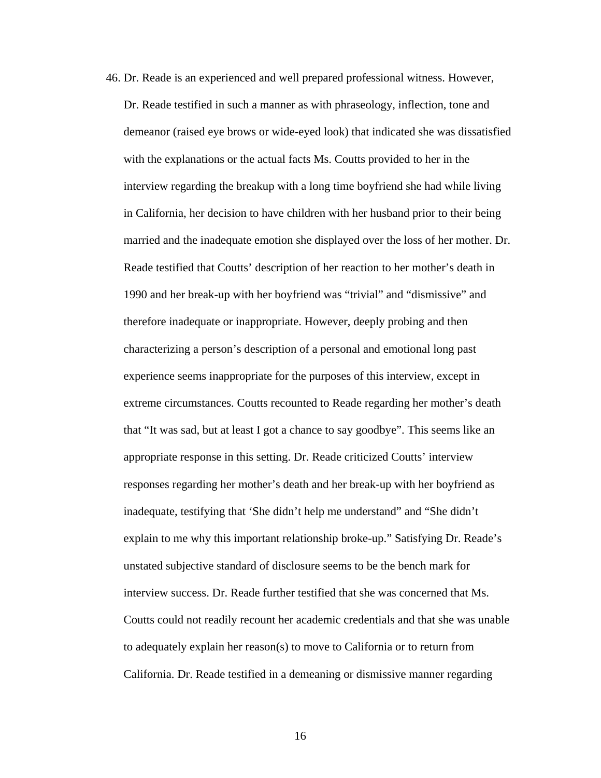46. Dr. Reade is an experienced and well prepared professional witness. However, Dr. Reade testified in such a manner as with phraseology, inflection, tone and demeanor (raised eye brows or wide-eyed look) that indicated she was dissatisfied with the explanations or the actual facts Ms. Coutts provided to her in the interview regarding the breakup with a long time boyfriend she had while living in California, her decision to have children with her husband prior to their being married and the inadequate emotion she displayed over the loss of her mother. Dr. Reade testified that Coutts' description of her reaction to her mother's death in 1990 and her break-up with her boyfriend was "trivial" and "dismissive" and therefore inadequate or inappropriate. However, deeply probing and then characterizing a person's description of a personal and emotional long past experience seems inappropriate for the purposes of this interview, except in extreme circumstances. Coutts recounted to Reade regarding her mother's death that "It was sad, but at least I got a chance to say goodbye". This seems like an appropriate response in this setting. Dr. Reade criticized Coutts' interview responses regarding her mother's death and her break-up with her boyfriend as inadequate, testifying that 'She didn't help me understand" and "She didn't explain to me why this important relationship broke-up." Satisfying Dr. Reade's unstated subjective standard of disclosure seems to be the bench mark for interview success. Dr. Reade further testified that she was concerned that Ms. Coutts could not readily recount her academic credentials and that she was unable to adequately explain her reason(s) to move to California or to return from California. Dr. Reade testified in a demeaning or dismissive manner regarding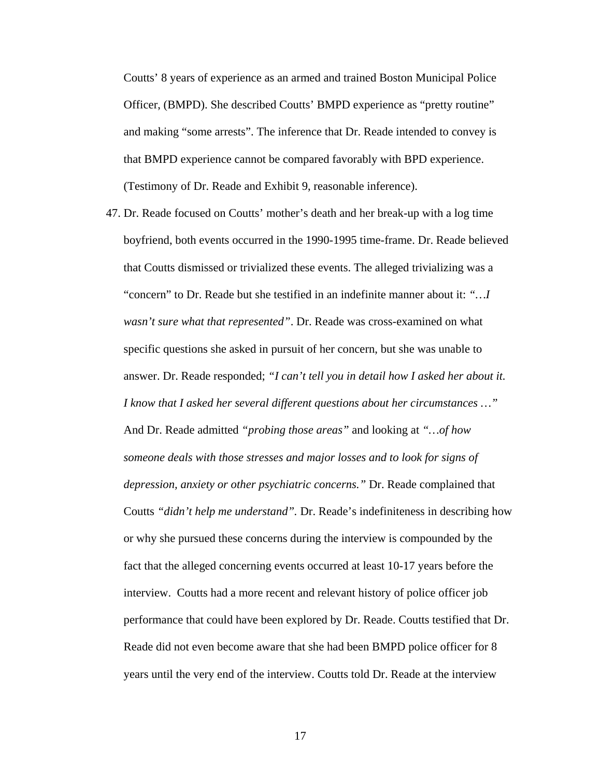Coutts' 8 years of experience as an armed and trained Boston Municipal Police Officer, (BMPD). She described Coutts' BMPD experience as "pretty routine" and making "some arrests". The inference that Dr. Reade intended to convey is that BMPD experience cannot be compared favorably with BPD experience. (Testimony of Dr. Reade and Exhibit 9, reasonable inference).

47. Dr. Reade focused on Coutts' mother's death and her break-up with a log time boyfriend, both events occurred in the 1990-1995 time-frame. Dr. Reade believed that Coutts dismissed or trivialized these events. The alleged trivializing was a "concern" to Dr. Reade but she testified in an indefinite manner about it: *"…I wasn't sure what that represented"*. Dr. Reade was cross-examined on what specific questions she asked in pursuit of her concern, but she was unable to answer. Dr. Reade responded; *"I can't tell you in detail how I asked her about it. I know that I asked her several different questions about her circumstances …"* And Dr. Reade admitted *"probing those areas"* and looking at *"…of how someone deals with those stresses and major losses and to look for signs of depression, anxiety or other psychiatric concerns."* Dr. Reade complained that Coutts *"didn't help me understand".* Dr. Reade's indefiniteness in describing how or why she pursued these concerns during the interview is compounded by the fact that the alleged concerning events occurred at least 10-17 years before the interview. Coutts had a more recent and relevant history of police officer job performance that could have been explored by Dr. Reade. Coutts testified that Dr. Reade did not even become aware that she had been BMPD police officer for 8 years until the very end of the interview. Coutts told Dr. Reade at the interview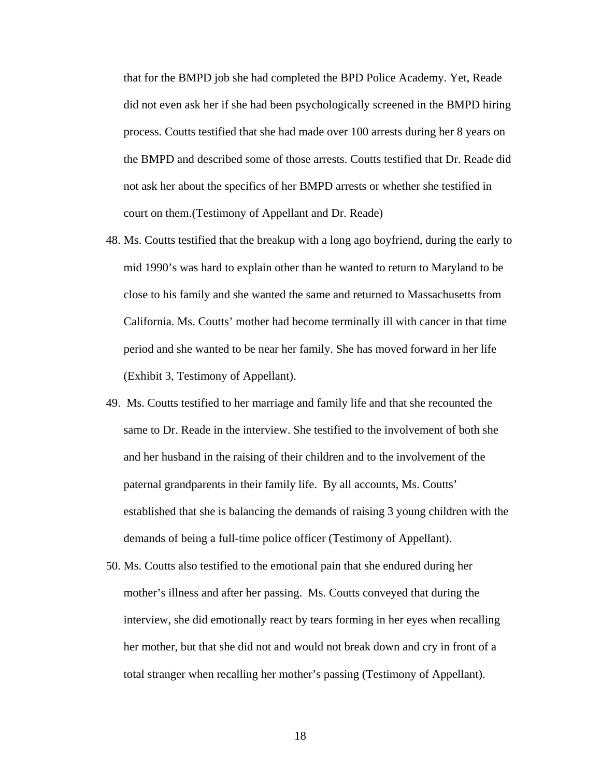that for the BMPD job she had completed the BPD Police Academy. Yet, Reade did not even ask her if she had been psychologically screened in the BMPD hiring process. Coutts testified that she had made over 100 arrests during her 8 years on the BMPD and described some of those arrests. Coutts testified that Dr. Reade did not ask her about the specifics of her BMPD arrests or whether she testified in court on them.(Testimony of Appellant and Dr. Reade)

- 48. Ms. Coutts testified that the breakup with a long ago boyfriend, during the early to mid 1990's was hard to explain other than he wanted to return to Maryland to be close to his family and she wanted the same and returned to Massachusetts from California. Ms. Coutts' mother had become terminally ill with cancer in that time period and she wanted to be near her family. She has moved forward in her life (Exhibit 3, Testimony of Appellant).
- 49. Ms. Coutts testified to her marriage and family life and that she recounted the same to Dr. Reade in the interview. She testified to the involvement of both she and her husband in the raising of their children and to the involvement of the paternal grandparents in their family life. By all accounts, Ms. Coutts' established that she is balancing the demands of raising 3 young children with the demands of being a full-time police officer (Testimony of Appellant).
- 50. Ms. Coutts also testified to the emotional pain that she endured during her mother's illness and after her passing. Ms. Coutts conveyed that during the interview, she did emotionally react by tears forming in her eyes when recalling her mother, but that she did not and would not break down and cry in front of a total stranger when recalling her mother's passing (Testimony of Appellant).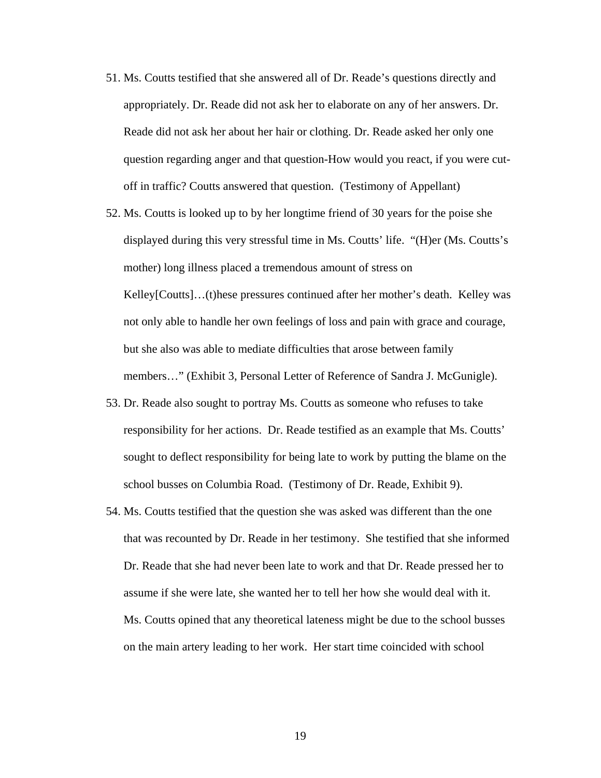- 51. Ms. Coutts testified that she answered all of Dr. Reade's questions directly and appropriately. Dr. Reade did not ask her to elaborate on any of her answers. Dr. Reade did not ask her about her hair or clothing. Dr. Reade asked her only one question regarding anger and that question-How would you react, if you were cutoff in traffic? Coutts answered that question. (Testimony of Appellant)
- 52. Ms. Coutts is looked up to by her longtime friend of 30 years for the poise she displayed during this very stressful time in Ms. Coutts' life. "(H)er (Ms. Coutts's mother) long illness placed a tremendous amount of stress on Kelley[Coutts]…(t)hese pressures continued after her mother's death. Kelley was not only able to handle her own feelings of loss and pain with grace and courage, but she also was able to mediate difficulties that arose between family members…" (Exhibit 3, Personal Letter of Reference of Sandra J. McGunigle).
- 53. Dr. Reade also sought to portray Ms. Coutts as someone who refuses to take responsibility for her actions. Dr. Reade testified as an example that Ms. Coutts' sought to deflect responsibility for being late to work by putting the blame on the school busses on Columbia Road. (Testimony of Dr. Reade, Exhibit 9).
- 54. Ms. Coutts testified that the question she was asked was different than the one that was recounted by Dr. Reade in her testimony. She testified that she informed Dr. Reade that she had never been late to work and that Dr. Reade pressed her to assume if she were late, she wanted her to tell her how she would deal with it. Ms. Coutts opined that any theoretical lateness might be due to the school busses on the main artery leading to her work. Her start time coincided with school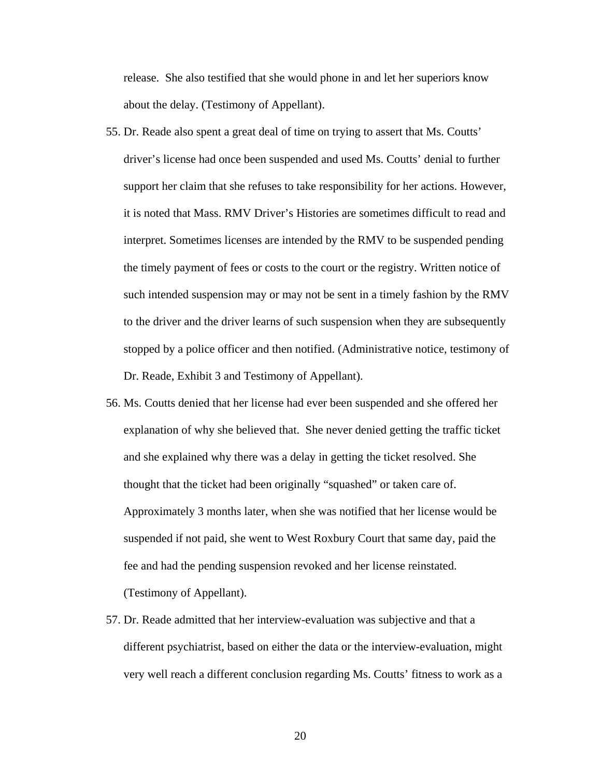release. She also testified that she would phone in and let her superiors know about the delay. (Testimony of Appellant).

- 55. Dr. Reade also spent a great deal of time on trying to assert that Ms. Coutts' driver's license had once been suspended and used Ms. Coutts' denial to further support her claim that she refuses to take responsibility for her actions. However, it is noted that Mass. RMV Driver's Histories are sometimes difficult to read and interpret. Sometimes licenses are intended by the RMV to be suspended pending the timely payment of fees or costs to the court or the registry. Written notice of such intended suspension may or may not be sent in a timely fashion by the RMV to the driver and the driver learns of such suspension when they are subsequently stopped by a police officer and then notified. (Administrative notice, testimony of Dr. Reade, Exhibit 3 and Testimony of Appellant).
- 56. Ms. Coutts denied that her license had ever been suspended and she offered her explanation of why she believed that. She never denied getting the traffic ticket and she explained why there was a delay in getting the ticket resolved. She thought that the ticket had been originally "squashed" or taken care of. Approximately 3 months later, when she was notified that her license would be suspended if not paid, she went to West Roxbury Court that same day, paid the fee and had the pending suspension revoked and her license reinstated. (Testimony of Appellant).
- 57. Dr. Reade admitted that her interview-evaluation was subjective and that a different psychiatrist, based on either the data or the interview-evaluation, might very well reach a different conclusion regarding Ms. Coutts' fitness to work as a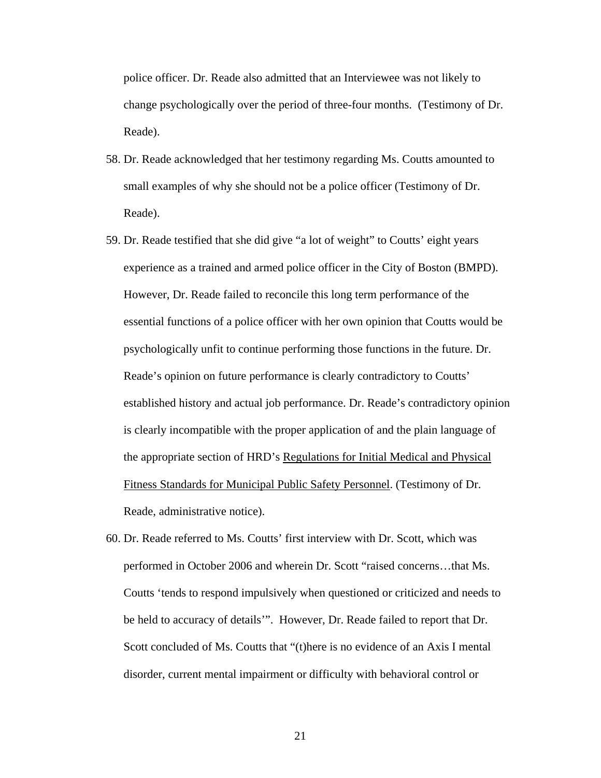police officer. Dr. Reade also admitted that an Interviewee was not likely to change psychologically over the period of three-four months. (Testimony of Dr. Reade).

- 58. Dr. Reade acknowledged that her testimony regarding Ms. Coutts amounted to small examples of why she should not be a police officer (Testimony of Dr. Reade).
- 59. Dr. Reade testified that she did give "a lot of weight" to Coutts' eight years experience as a trained and armed police officer in the City of Boston (BMPD). However, Dr. Reade failed to reconcile this long term performance of the essential functions of a police officer with her own opinion that Coutts would be psychologically unfit to continue performing those functions in the future. Dr. Reade's opinion on future performance is clearly contradictory to Coutts' established history and actual job performance. Dr. Reade's contradictory opinion is clearly incompatible with the proper application of and the plain language of the appropriate section of HRD's Regulations for Initial Medical and Physical Fitness Standards for Municipal Public Safety Personnel. (Testimony of Dr. Reade, administrative notice).
- 60. Dr. Reade referred to Ms. Coutts' first interview with Dr. Scott, which was performed in October 2006 and wherein Dr. Scott "raised concerns…that Ms. Coutts 'tends to respond impulsively when questioned or criticized and needs to be held to accuracy of details'". However, Dr. Reade failed to report that Dr. Scott concluded of Ms. Coutts that "(t)here is no evidence of an Axis I mental disorder, current mental impairment or difficulty with behavioral control or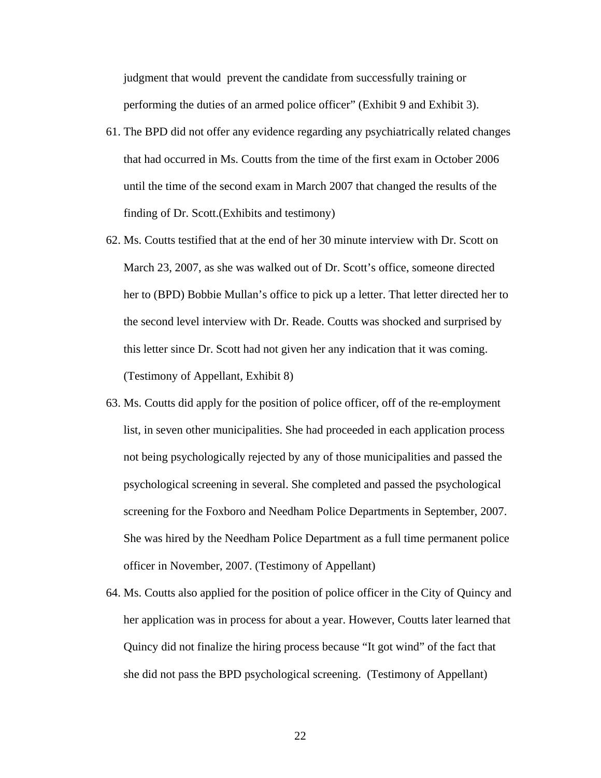judgment that would prevent the candidate from successfully training or performing the duties of an armed police officer" (Exhibit 9 and Exhibit 3).

- 61. The BPD did not offer any evidence regarding any psychiatrically related changes that had occurred in Ms. Coutts from the time of the first exam in October 2006 until the time of the second exam in March 2007 that changed the results of the finding of Dr. Scott.(Exhibits and testimony)
- 62. Ms. Coutts testified that at the end of her 30 minute interview with Dr. Scott on March 23, 2007, as she was walked out of Dr. Scott's office, someone directed her to (BPD) Bobbie Mullan's office to pick up a letter. That letter directed her to the second level interview with Dr. Reade. Coutts was shocked and surprised by this letter since Dr. Scott had not given her any indication that it was coming. (Testimony of Appellant, Exhibit 8)
- 63. Ms. Coutts did apply for the position of police officer, off of the re-employment list, in seven other municipalities. She had proceeded in each application process not being psychologically rejected by any of those municipalities and passed the psychological screening in several. She completed and passed the psychological screening for the Foxboro and Needham Police Departments in September, 2007. She was hired by the Needham Police Department as a full time permanent police officer in November, 2007. (Testimony of Appellant)
- 64. Ms. Coutts also applied for the position of police officer in the City of Quincy and her application was in process for about a year. However, Coutts later learned that Quincy did not finalize the hiring process because "It got wind" of the fact that she did not pass the BPD psychological screening. (Testimony of Appellant)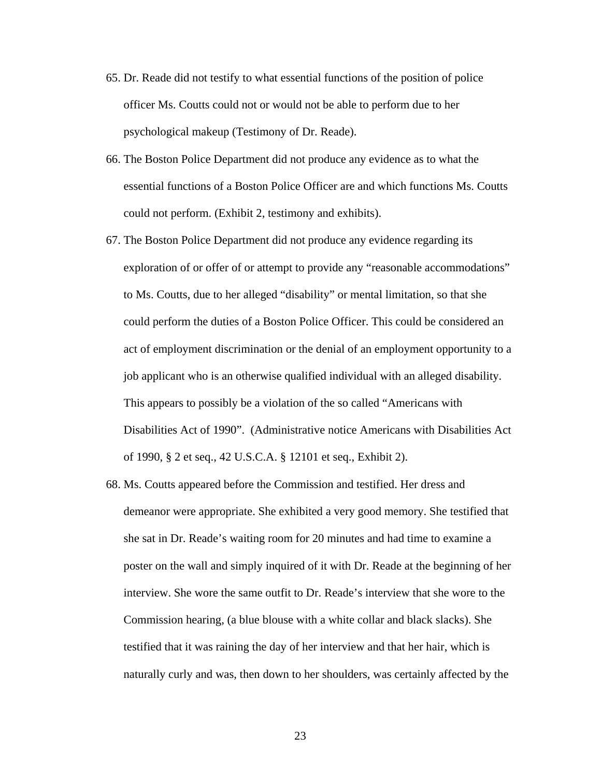- 65. Dr. Reade did not testify to what essential functions of the position of police officer Ms. Coutts could not or would not be able to perform due to her psychological makeup (Testimony of Dr. Reade).
- 66. The Boston Police Department did not produce any evidence as to what the essential functions of a Boston Police Officer are and which functions Ms. Coutts could not perform. (Exhibit 2, testimony and exhibits).
- 67. The Boston Police Department did not produce any evidence regarding its exploration of or offer of or attempt to provide any "reasonable accommodations" to Ms. Coutts, due to her alleged "disability" or mental limitation, so that she could perform the duties of a Boston Police Officer. This could be considered an act of employment discrimination or the denial of an employment opportunity to a job applicant who is an otherwise qualified individual with an alleged disability. This appears to possibly be a violation of the so called "Americans with Disabilities Act of 1990". (Administrative notice Americans with Disabilities Act of 1990, § 2 et seq., 42 U.S.C.A. § 12101 et seq., Exhibit 2).
- 68. Ms. Coutts appeared before the Commission and testified. Her dress and demeanor were appropriate. She exhibited a very good memory. She testified that she sat in Dr. Reade's waiting room for 20 minutes and had time to examine a poster on the wall and simply inquired of it with Dr. Reade at the beginning of her interview. She wore the same outfit to Dr. Reade's interview that she wore to the Commission hearing, (a blue blouse with a white collar and black slacks). She testified that it was raining the day of her interview and that her hair, which is naturally curly and was, then down to her shoulders, was certainly affected by the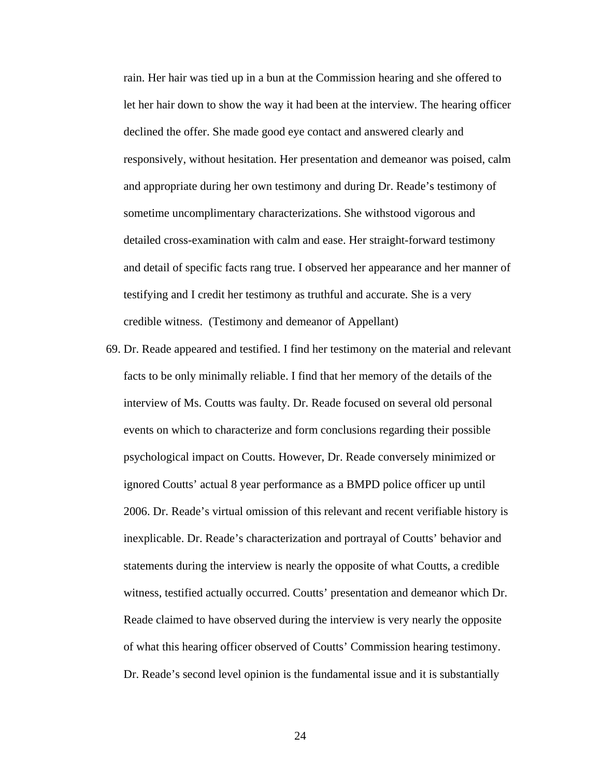rain. Her hair was tied up in a bun at the Commission hearing and she offered to let her hair down to show the way it had been at the interview. The hearing officer declined the offer. She made good eye contact and answered clearly and responsively, without hesitation. Her presentation and demeanor was poised, calm and appropriate during her own testimony and during Dr. Reade's testimony of sometime uncomplimentary characterizations. She withstood vigorous and detailed cross-examination with calm and ease. Her straight-forward testimony and detail of specific facts rang true. I observed her appearance and her manner of testifying and I credit her testimony as truthful and accurate. She is a very credible witness. (Testimony and demeanor of Appellant)

69. Dr. Reade appeared and testified. I find her testimony on the material and relevant facts to be only minimally reliable. I find that her memory of the details of the interview of Ms. Coutts was faulty. Dr. Reade focused on several old personal events on which to characterize and form conclusions regarding their possible psychological impact on Coutts. However, Dr. Reade conversely minimized or ignored Coutts' actual 8 year performance as a BMPD police officer up until 2006. Dr. Reade's virtual omission of this relevant and recent verifiable history is inexplicable. Dr. Reade's characterization and portrayal of Coutts' behavior and statements during the interview is nearly the opposite of what Coutts, a credible witness, testified actually occurred. Coutts' presentation and demeanor which Dr. Reade claimed to have observed during the interview is very nearly the opposite of what this hearing officer observed of Coutts' Commission hearing testimony. Dr. Reade's second level opinion is the fundamental issue and it is substantially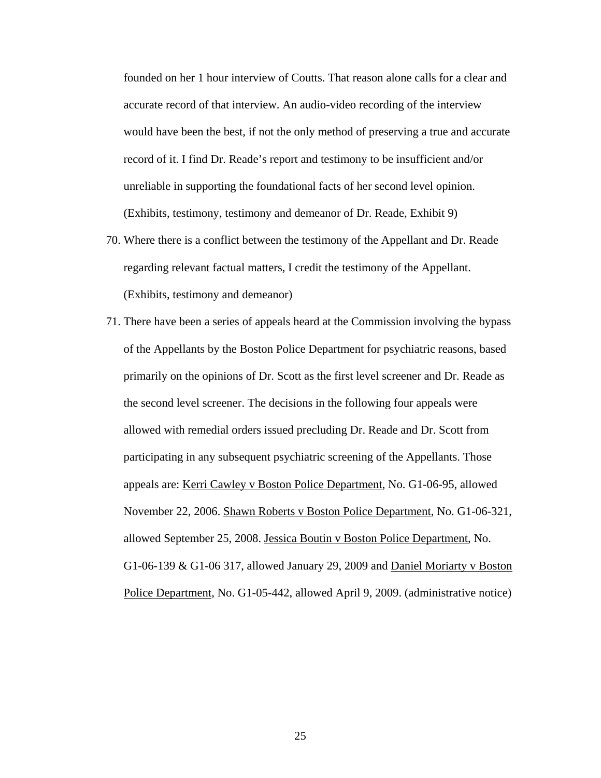founded on her 1 hour interview of Coutts. That reason alone calls for a clear and accurate record of that interview. An audio-video recording of the interview would have been the best, if not the only method of preserving a true and accurate record of it. I find Dr. Reade's report and testimony to be insufficient and/or unreliable in supporting the foundational facts of her second level opinion. (Exhibits, testimony, testimony and demeanor of Dr. Reade, Exhibit 9)

- 70. Where there is a conflict between the testimony of the Appellant and Dr. Reade regarding relevant factual matters, I credit the testimony of the Appellant. (Exhibits, testimony and demeanor)
- 71. There have been a series of appeals heard at the Commission involving the bypass of the Appellants by the Boston Police Department for psychiatric reasons, based primarily on the opinions of Dr. Scott as the first level screener and Dr. Reade as the second level screener. The decisions in the following four appeals were allowed with remedial orders issued precluding Dr. Reade and Dr. Scott from participating in any subsequent psychiatric screening of the Appellants. Those appeals are: Kerri Cawley v Boston Police Department, No. G1-06-95, allowed November 22, 2006. Shawn Roberts v Boston Police Department, No. G1-06-321, allowed September 25, 2008. Jessica Boutin v Boston Police Department, No. G1-06-139 & G1-06 317, allowed January 29, 2009 and Daniel Moriarty v Boston Police Department, No. G1-05-442, allowed April 9, 2009. (administrative notice)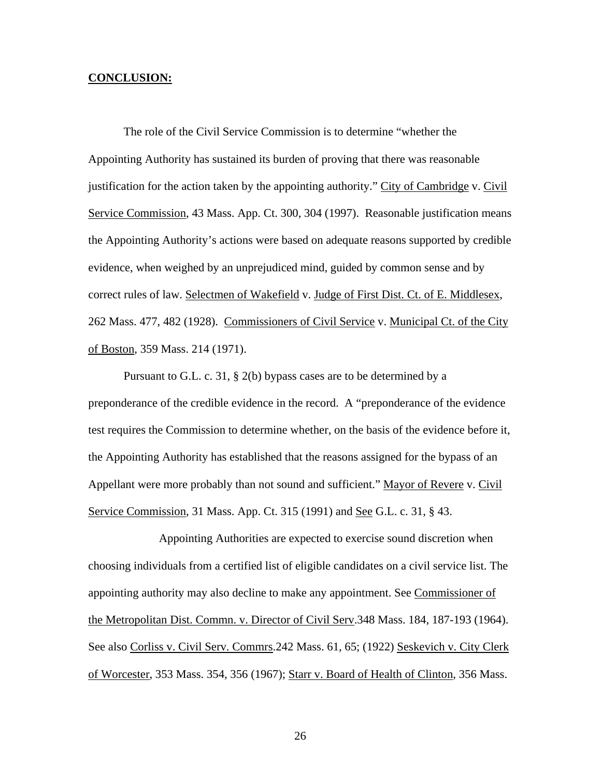#### **CONCLUSION:**

 The role of the Civil Service Commission is to determine "whether the Appointing Authority has sustained its burden of proving that there was reasonable justification for the action taken by the appointing authority." City of Cambridge v. Civil Service Commission, 43 Mass. App. Ct. 300, 304 (1997). Reasonable justification means the Appointing Authority's actions were based on adequate reasons supported by credible evidence, when weighed by an unprejudiced mind, guided by common sense and by correct rules of law. Selectmen of Wakefield v. Judge of First Dist. Ct. of E. Middlesex, 262 Mass. 477, 482 (1928). Commissioners of Civil Service v. Municipal Ct. of the City of Boston, 359 Mass. 214 (1971).

 Pursuant to G.L. c. 31, § 2(b) bypass cases are to be determined by a preponderance of the credible evidence in the record. A "preponderance of the evidence test requires the Commission to determine whether, on the basis of the evidence before it, the Appointing Authority has established that the reasons assigned for the bypass of an Appellant were more probably than not sound and sufficient." Mayor of Revere v. Civil Service Commission, 31 Mass. App. Ct. 315 (1991) and <u>See</u> G.L. c. 31, § 43.

 Appointing Authorities are expected to exercise sound discretion when choosing individuals from a certified list of eligible candidates on a civil service list. The appointing authority may also decline to make any appointment. See Commissioner of the Metropolitan Dist. Commn. v. Director of Civil Serv.348 Mass. 184, 187-193 (1964). See also Corliss v. Civil Serv. Commrs.242 Mass. 61, 65; (1922) Seskevich v. City Clerk of Worcester, 353 Mass. 354, 356 (1967); Starr v. Board of Health of Clinton, 356 Mass.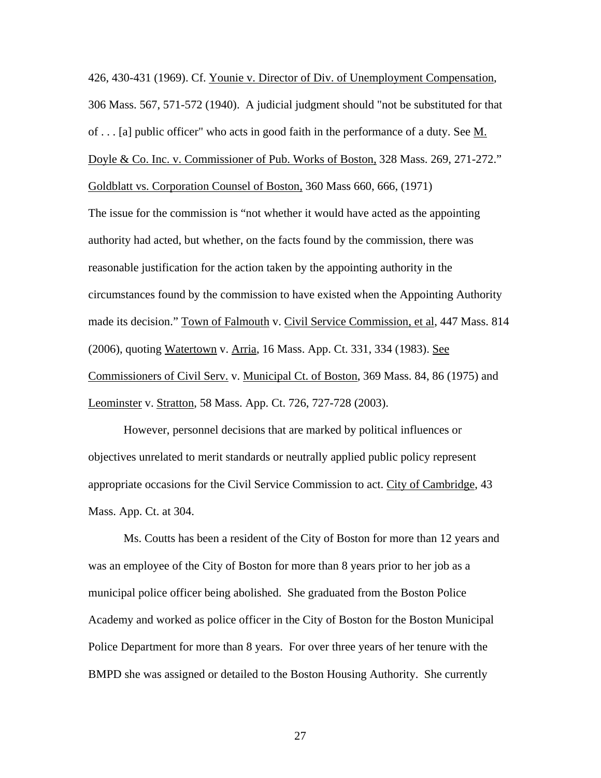426, 430-431 (1969). Cf. Younie v. Director of Div. of Unemployment Compensation, 306 Mass. 567, 571-572 (1940). A judicial judgment should "not be substituted for that of . . . [a] public officer" who acts in good faith in the performance of a duty. See M. Doyle & Co. Inc. v. Commissioner of Pub. Works of Boston, 328 Mass. 269, 271-272." Goldblatt vs. Corporation Counsel of Boston, 360 Mass 660, 666, (1971)

The issue for the commission is "not whether it would have acted as the appointing authority had acted, but whether, on the facts found by the commission, there was reasonable justification for the action taken by the appointing authority in the circumstances found by the commission to have existed when the Appointing Authority made its decision." Town of Falmouth v. Civil Service Commission, et al, 447 Mass. 814 (2006), quoting Watertown v. Arria, 16 Mass. App. Ct. 331, 334 (1983). See Commissioners of Civil Serv. v. Municipal Ct. of Boston, 369 Mass. 84, 86 (1975) and Leominster v. Stratton, 58 Mass. App. Ct. 726, 727-728 (2003).

 However, personnel decisions that are marked by political influences or objectives unrelated to merit standards or neutrally applied public policy represent appropriate occasions for the Civil Service Commission to act. City of Cambridge, 43 Mass. App. Ct. at 304.

 Ms. Coutts has been a resident of the City of Boston for more than 12 years and was an employee of the City of Boston for more than 8 years prior to her job as a municipal police officer being abolished. She graduated from the Boston Police Academy and worked as police officer in the City of Boston for the Boston Municipal Police Department for more than 8 years. For over three years of her tenure with the BMPD she was assigned or detailed to the Boston Housing Authority. She currently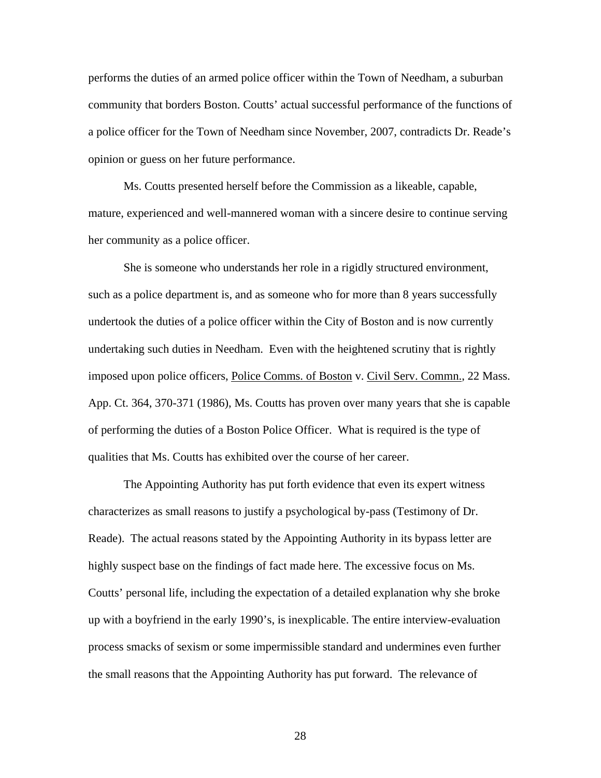performs the duties of an armed police officer within the Town of Needham, a suburban community that borders Boston. Coutts' actual successful performance of the functions of a police officer for the Town of Needham since November, 2007, contradicts Dr. Reade's opinion or guess on her future performance.

 Ms. Coutts presented herself before the Commission as a likeable, capable, mature, experienced and well-mannered woman with a sincere desire to continue serving her community as a police officer.

She is someone who understands her role in a rigidly structured environment, such as a police department is, and as someone who for more than 8 years successfully undertook the duties of a police officer within the City of Boston and is now currently undertaking such duties in Needham. Even with the heightened scrutiny that is rightly imposed upon police officers, <u>Police Comms. of Boston</u> v. Civil Serv. Commn., 22 Mass. App. Ct. 364, 370-371 (1986), Ms. Coutts has proven over many years that she is capable of performing the duties of a Boston Police Officer. What is required is the type of qualities that Ms. Coutts has exhibited over the course of her career.

 The Appointing Authority has put forth evidence that even its expert witness characterizes as small reasons to justify a psychological by-pass (Testimony of Dr. Reade). The actual reasons stated by the Appointing Authority in its bypass letter are highly suspect base on the findings of fact made here. The excessive focus on Ms. Coutts' personal life, including the expectation of a detailed explanation why she broke up with a boyfriend in the early 1990's, is inexplicable. The entire interview-evaluation process smacks of sexism or some impermissible standard and undermines even further the small reasons that the Appointing Authority has put forward. The relevance of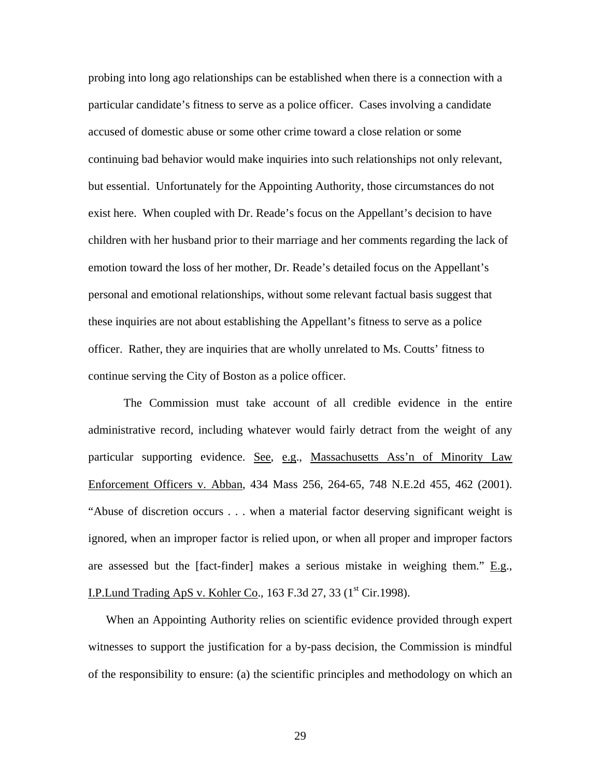probing into long ago relationships can be established when there is a connection with a particular candidate's fitness to serve as a police officer. Cases involving a candidate accused of domestic abuse or some other crime toward a close relation or some continuing bad behavior would make inquiries into such relationships not only relevant, but essential. Unfortunately for the Appointing Authority, those circumstances do not exist here. When coupled with Dr. Reade's focus on the Appellant's decision to have children with her husband prior to their marriage and her comments regarding the lack of emotion toward the loss of her mother, Dr. Reade's detailed focus on the Appellant's personal and emotional relationships, without some relevant factual basis suggest that these inquiries are not about establishing the Appellant's fitness to serve as a police officer. Rather, they are inquiries that are wholly unrelated to Ms. Coutts' fitness to continue serving the City of Boston as a police officer.

 The Commission must take account of all credible evidence in the entire administrative record, including whatever would fairly detract from the weight of any particular supporting evidence. See, e.g., Massachusetts Ass'n of Minority Law Enforcement Officers v. Abban, 434 Mass 256, 264-65, 748 N.E.2d 455, 462 (2001). "Abuse of discretion occurs . . . when a material factor deserving significant weight is ignored, when an improper factor is relied upon, or when all proper and improper factors are assessed but the [fact-finder] makes a serious mistake in weighing them."  $E.g.,$ I.P.Lund Trading ApS v. Kohler Co., 163 F.3d 27, 33 ( $1<sup>st</sup> Cir.1998$ ).

When an Appointing Authority relies on scientific evidence provided through expert witnesses to support the justification for a by-pass decision, the Commission is mindful of the responsibility to ensure: (a) the scientific principles and methodology on which an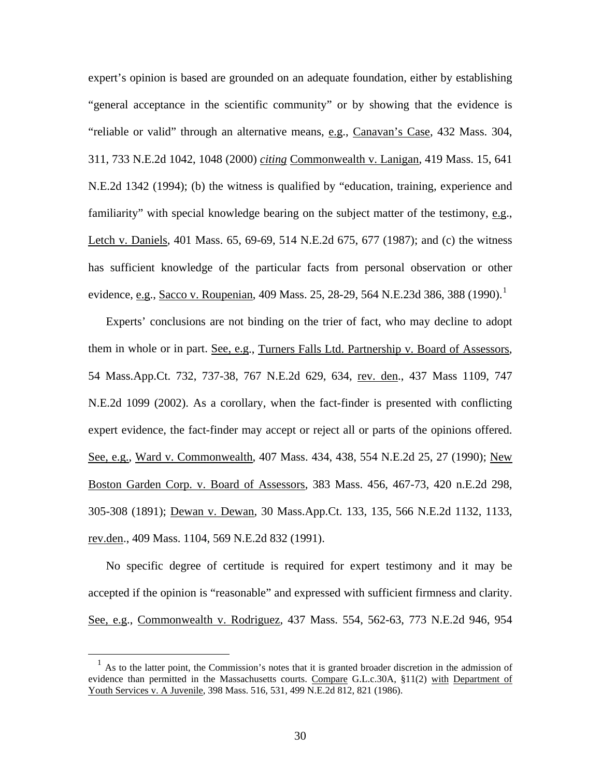expert's opinion is based are grounded on an adequate foundation, either by establishing "general acceptance in the scientific community" or by showing that the evidence is "reliable or valid" through an alternative means, e.g., Canavan's Case, 432 Mass. 304, 311, 733 N.E.2d 1042, 1048 (2000) *citing* Commonwealth v. Lanigan, 419 Mass. 15, 641 N.E.2d 1342 (1994); (b) the witness is qualified by "education, training, experience and familiarity" with special knowledge bearing on the subject matter of the testimony, e.g., Letch v. Daniels, 401 Mass. 65, 69-69, 514 N.E.2d 675, 677 (1987); and (c) the witness has sufficient knowledge of the particular facts from personal observation or other evidence, <u>e.g</u>., Sacco v. Roupenian, 409 Mass. 25, 28-29, 564 N.E.23d 386, 388 ([1](#page-29-0)990).<sup>1</sup>

Experts' conclusions are not binding on the trier of fact, who may decline to adopt them in whole or in part. See, e.g., Turners Falls Ltd. Partnership v. Board of Assessors, 54 Mass.App.Ct. 732, 737-38, 767 N.E.2d 629, 634, rev. den., 437 Mass 1109, 747 N.E.2d 1099 (2002). As a corollary, when the fact-finder is presented with conflicting expert evidence, the fact-finder may accept or reject all or parts of the opinions offered. See, e.g., Ward v. Commonwealth, 407 Mass. 434, 438, 554 N.E.2d 25, 27 (1990); New Boston Garden Corp. v. Board of Assessors, 383 Mass. 456, 467-73, 420 n.E.2d 298, 305-308 (1891); Dewan v. Dewan, 30 Mass.App.Ct. 133, 135, 566 N.E.2d 1132, 1133, rev.den., 409 Mass. 1104, 569 N.E.2d 832 (1991).

No specific degree of certitude is required for expert testimony and it may be accepted if the opinion is "reasonable" and expressed with sufficient firmness and clarity. See, e.g., Commonwealth v. Rodriguez, 437 Mass. 554, 562-63, 773 N.E.2d 946, 954

<span id="page-29-0"></span> $<sup>1</sup>$  As to the latter point, the Commission's notes that it is granted broader discretion in the admission of</sup> evidence than permitted in the Massachusetts courts. Compare G.L.c.30A, §11(2) with Department of Youth Services v. A Juvenile, 398 Mass. 516, 531, 499 N.E.2d 812, 821 (1986).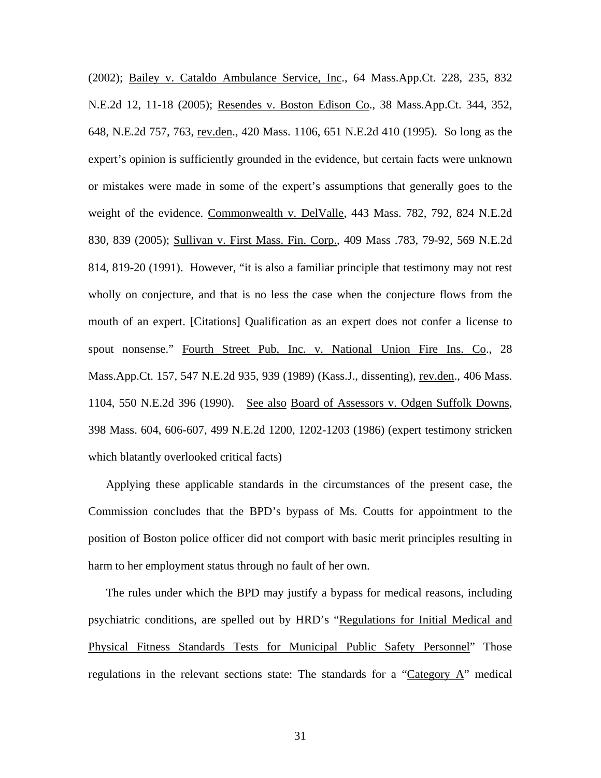(2002); Bailey v. Cataldo Ambulance Service, Inc., 64 Mass.App.Ct. 228, 235, 832 N.E.2d 12, 11-18 (2005); Resendes v. Boston Edison Co., 38 Mass.App.Ct. 344, 352, 648, N.E.2d 757, 763, rev.den., 420 Mass. 1106, 651 N.E.2d 410 (1995). So long as the expert's opinion is sufficiently grounded in the evidence, but certain facts were unknown or mistakes were made in some of the expert's assumptions that generally goes to the weight of the evidence. Commonwealth v. DelValle, 443 Mass. 782, 792, 824 N.E.2d 830, 839 (2005); Sullivan v. First Mass. Fin. Corp., 409 Mass .783, 79-92, 569 N.E.2d 814, 819-20 (1991). However, "it is also a familiar principle that testimony may not rest wholly on conjecture, and that is no less the case when the conjecture flows from the mouth of an expert. [Citations] Qualification as an expert does not confer a license to spout nonsense." Fourth Street Pub, Inc. v. National Union Fire Ins. Co., 28 Mass.App.Ct. 157, 547 N.E.2d 935, 939 (1989) (Kass.J., dissenting), rev.den., 406 Mass. 1104, 550 N.E.2d 396 (1990). See also Board of Assessors v. Odgen Suffolk Downs, 398 Mass. 604, 606-607, 499 N.E.2d 1200, 1202-1203 (1986) (expert testimony stricken which blatantly overlooked critical facts)

Applying these applicable standards in the circumstances of the present case, the Commission concludes that the BPD's bypass of Ms. Coutts for appointment to the position of Boston police officer did not comport with basic merit principles resulting in harm to her employment status through no fault of her own.

The rules under which the BPD may justify a bypass for medical reasons, including psychiatric conditions, are spelled out by HRD's "Regulations for Initial Medical and Physical Fitness Standards Tests for Municipal Public Safety Personnel" Those regulations in the relevant sections state: The standards for a "Category A" medical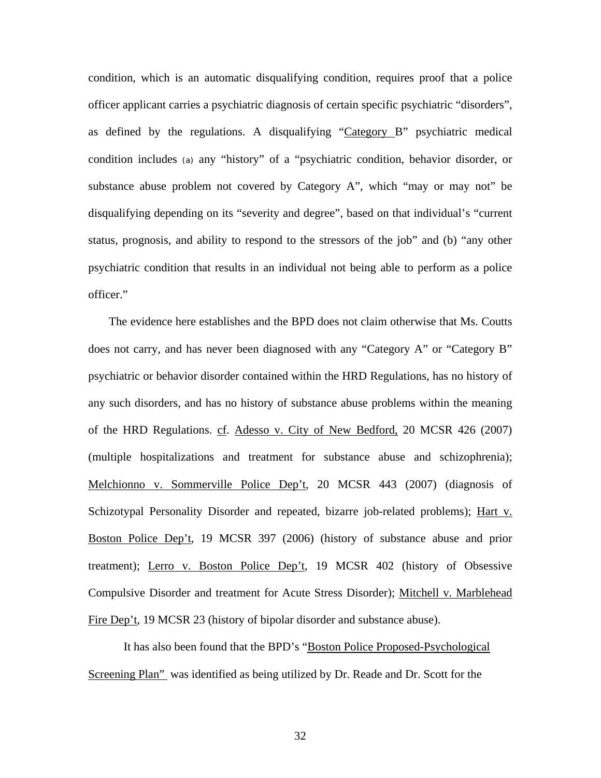condition, which is an automatic disqualifying condition, requires proof that a police officer applicant carries a psychiatric diagnosis of certain specific psychiatric "disorders", as defined by the regulations. A disqualifying "Category B" psychiatric medical condition includes (a) any "history" of a "psychiatric condition, behavior disorder, or substance abuse problem not covered by Category A", which "may or may not" be disqualifying depending on its "severity and degree", based on that individual's "current status, prognosis, and ability to respond to the stressors of the job" and (b) "any other psychiatric condition that results in an individual not being able to perform as a police officer."

 The evidence here establishes and the BPD does not claim otherwise that Ms. Coutts does not carry, and has never been diagnosed with any "Category A" or "Category B" psychiatric or behavior disorder contained within the HRD Regulations, has no history of any such disorders, and has no history of substance abuse problems within the meaning of the HRD Regulations. cf. Adesso v. City of New Bedford, 20 MCSR 426 (2007) (multiple hospitalizations and treatment for substance abuse and schizophrenia); Melchionno v. Sommerville Police Dep't, 20 MCSR 443 (2007) (diagnosis of Schizotypal Personality Disorder and repeated, bizarre job-related problems); Hart v. Boston Police Dep't, 19 MCSR 397 (2006) (history of substance abuse and prior treatment); Lerro v. Boston Police Dep't, 19 MCSR 402 (history of Obsessive Compulsive Disorder and treatment for Acute Stress Disorder); Mitchell v. Marblehead Fire Dep't, 19 MCSR 23 (history of bipolar disorder and substance abuse).

 It has also been found that the BPD's "Boston Police Proposed-Psychological Screening Plan" was identified as being utilized by Dr. Reade and Dr. Scott for the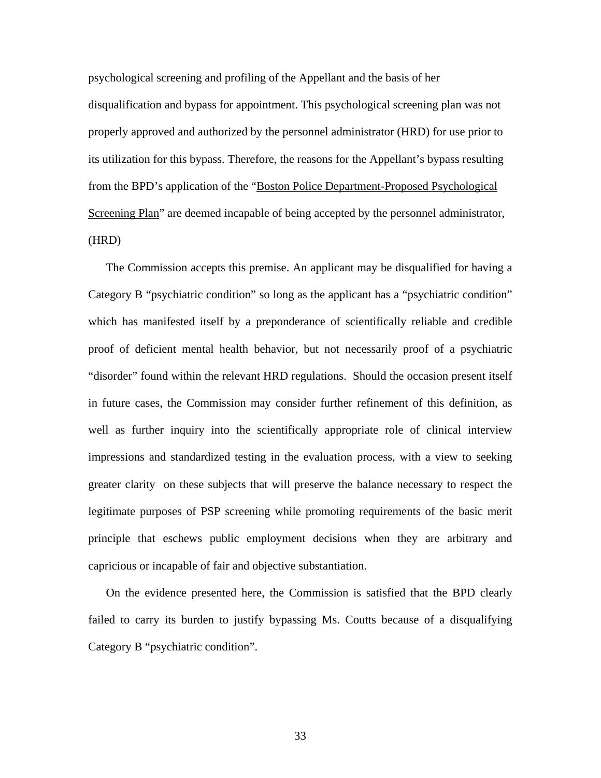psychological screening and profiling of the Appellant and the basis of her disqualification and bypass for appointment. This psychological screening plan was not properly approved and authorized by the personnel administrator (HRD) for use prior to its utilization for this bypass. Therefore, the reasons for the Appellant's bypass resulting from the BPD's application of the "Boston Police Department-Proposed Psychological Screening Plan" are deemed incapable of being accepted by the personnel administrator, (HRD)

The Commission accepts this premise. An applicant may be disqualified for having a Category B "psychiatric condition" so long as the applicant has a "psychiatric condition" which has manifested itself by a preponderance of scientifically reliable and credible proof of deficient mental health behavior, but not necessarily proof of a psychiatric "disorder" found within the relevant HRD regulations. Should the occasion present itself in future cases, the Commission may consider further refinement of this definition, as well as further inquiry into the scientifically appropriate role of clinical interview impressions and standardized testing in the evaluation process, with a view to seeking greater clarity on these subjects that will preserve the balance necessary to respect the legitimate purposes of PSP screening while promoting requirements of the basic merit principle that eschews public employment decisions when they are arbitrary and capricious or incapable of fair and objective substantiation.

On the evidence presented here, the Commission is satisfied that the BPD clearly failed to carry its burden to justify bypassing Ms. Coutts because of a disqualifying Category B "psychiatric condition".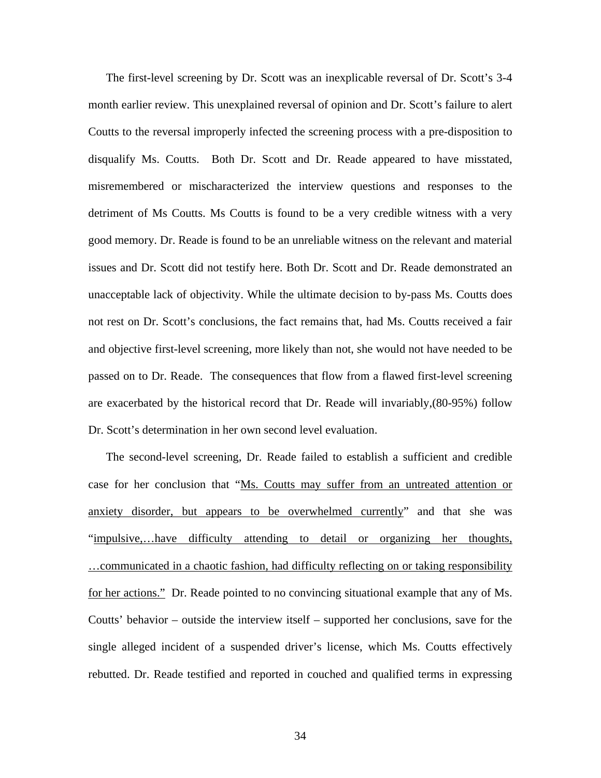The first-level screening by Dr. Scott was an inexplicable reversal of Dr. Scott's 3-4 month earlier review. This unexplained reversal of opinion and Dr. Scott's failure to alert Coutts to the reversal improperly infected the screening process with a pre-disposition to disqualify Ms. Coutts. Both Dr. Scott and Dr. Reade appeared to have misstated, misremembered or mischaracterized the interview questions and responses to the detriment of Ms Coutts. Ms Coutts is found to be a very credible witness with a very good memory. Dr. Reade is found to be an unreliable witness on the relevant and material issues and Dr. Scott did not testify here. Both Dr. Scott and Dr. Reade demonstrated an unacceptable lack of objectivity. While the ultimate decision to by-pass Ms. Coutts does not rest on Dr. Scott's conclusions, the fact remains that, had Ms. Coutts received a fair and objective first-level screening, more likely than not, she would not have needed to be passed on to Dr. Reade. The consequences that flow from a flawed first-level screening are exacerbated by the historical record that Dr. Reade will invariably,(80-95%) follow Dr. Scott's determination in her own second level evaluation.

The second-level screening, Dr. Reade failed to establish a sufficient and credible case for her conclusion that "Ms. Coutts may suffer from an untreated attention or anxiety disorder, but appears to be overwhelmed currently" and that she was "impulsive,…have difficulty attending to detail or organizing her thoughts, …communicated in a chaotic fashion, had difficulty reflecting on or taking responsibility for her actions." Dr. Reade pointed to no convincing situational example that any of Ms. Coutts' behavior – outside the interview itself – supported her conclusions, save for the single alleged incident of a suspended driver's license, which Ms. Coutts effectively rebutted. Dr. Reade testified and reported in couched and qualified terms in expressing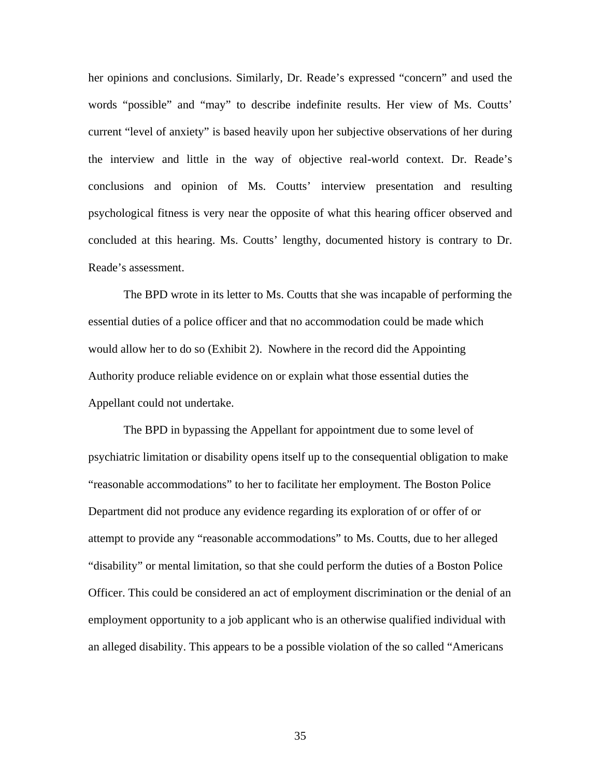her opinions and conclusions. Similarly, Dr. Reade's expressed "concern" and used the words "possible" and "may" to describe indefinite results. Her view of Ms. Coutts' current "level of anxiety" is based heavily upon her subjective observations of her during the interview and little in the way of objective real-world context. Dr. Reade's conclusions and opinion of Ms. Coutts' interview presentation and resulting psychological fitness is very near the opposite of what this hearing officer observed and concluded at this hearing. Ms. Coutts' lengthy, documented history is contrary to Dr. Reade's assessment.

The BPD wrote in its letter to Ms. Coutts that she was incapable of performing the essential duties of a police officer and that no accommodation could be made which would allow her to do so (Exhibit 2). Nowhere in the record did the Appointing Authority produce reliable evidence on or explain what those essential duties the Appellant could not undertake.

The BPD in bypassing the Appellant for appointment due to some level of psychiatric limitation or disability opens itself up to the consequential obligation to make "reasonable accommodations" to her to facilitate her employment. The Boston Police Department did not produce any evidence regarding its exploration of or offer of or attempt to provide any "reasonable accommodations" to Ms. Coutts, due to her alleged "disability" or mental limitation, so that she could perform the duties of a Boston Police Officer. This could be considered an act of employment discrimination or the denial of an employment opportunity to a job applicant who is an otherwise qualified individual with an alleged disability. This appears to be a possible violation of the so called "Americans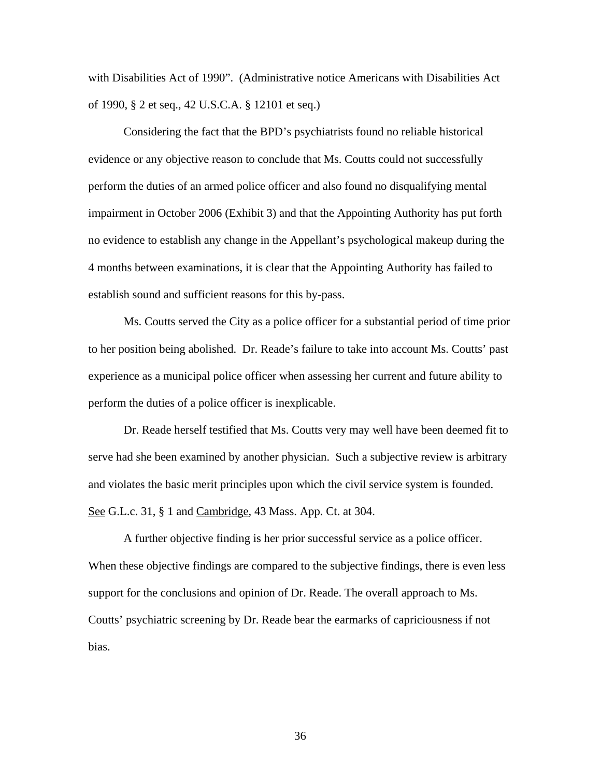with Disabilities Act of 1990". (Administrative notice Americans with Disabilities Act of 1990, § 2 et seq., 42 U.S.C.A. § 12101 et seq.)

Considering the fact that the BPD's psychiatrists found no reliable historical evidence or any objective reason to conclude that Ms. Coutts could not successfully perform the duties of an armed police officer and also found no disqualifying mental impairment in October 2006 (Exhibit 3) and that the Appointing Authority has put forth no evidence to establish any change in the Appellant's psychological makeup during the 4 months between examinations, it is clear that the Appointing Authority has failed to establish sound and sufficient reasons for this by-pass.

 Ms. Coutts served the City as a police officer for a substantial period of time prior to her position being abolished. Dr. Reade's failure to take into account Ms. Coutts' past experience as a municipal police officer when assessing her current and future ability to perform the duties of a police officer is inexplicable.

 Dr. Reade herself testified that Ms. Coutts very may well have been deemed fit to serve had she been examined by another physician. Such a subjective review is arbitrary and violates the basic merit principles upon which the civil service system is founded. See G.L.c. 31, § 1 and Cambridge, 43 Mass. App. Ct. at 304.

 A further objective finding is her prior successful service as a police officer. When these objective findings are compared to the subjective findings, there is even less support for the conclusions and opinion of Dr. Reade. The overall approach to Ms. Coutts' psychiatric screening by Dr. Reade bear the earmarks of capriciousness if not bias.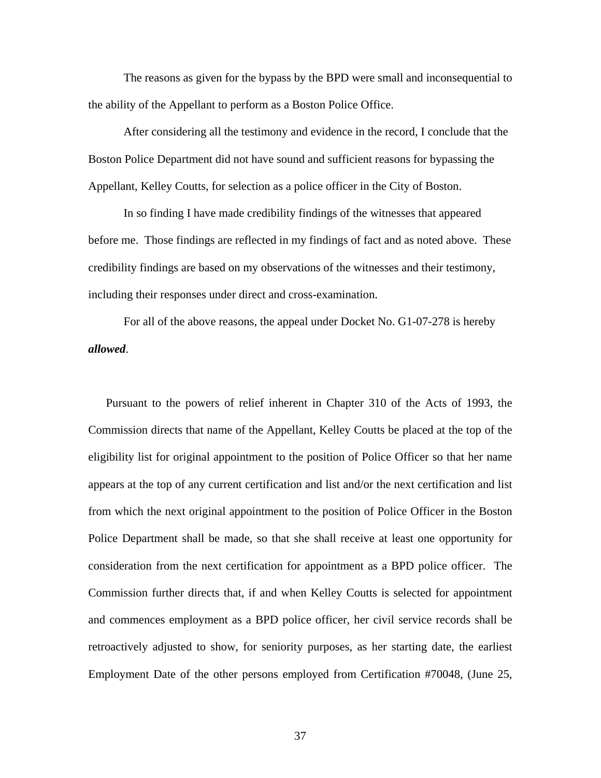The reasons as given for the bypass by the BPD were small and inconsequential to the ability of the Appellant to perform as a Boston Police Office.

 After considering all the testimony and evidence in the record, I conclude that the Boston Police Department did not have sound and sufficient reasons for bypassing the Appellant, Kelley Coutts, for selection as a police officer in the City of Boston.

 In so finding I have made credibility findings of the witnesses that appeared before me. Those findings are reflected in my findings of fact and as noted above. These credibility findings are based on my observations of the witnesses and their testimony, including their responses under direct and cross-examination.

 For all of the above reasons, the appeal under Docket No. G1-07-278 is hereby *allowed*.

Pursuant to the powers of relief inherent in Chapter 310 of the Acts of 1993, the Commission directs that name of the Appellant, Kelley Coutts be placed at the top of the eligibility list for original appointment to the position of Police Officer so that her name appears at the top of any current certification and list and/or the next certification and list from which the next original appointment to the position of Police Officer in the Boston Police Department shall be made, so that she shall receive at least one opportunity for consideration from the next certification for appointment as a BPD police officer. The Commission further directs that, if and when Kelley Coutts is selected for appointment and commences employment as a BPD police officer, her civil service records shall be retroactively adjusted to show, for seniority purposes, as her starting date, the earliest Employment Date of the other persons employed from Certification #70048, (June 25,